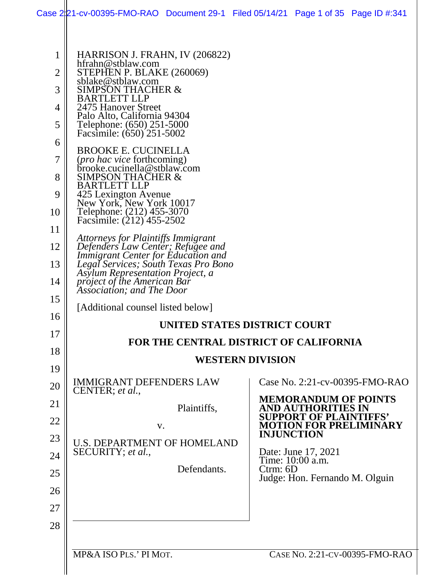| 1  | HARRISON J. FRAHN, IV (206822)                                                               |                                                                                             |
|----|----------------------------------------------------------------------------------------------|---------------------------------------------------------------------------------------------|
| 2  | hfrahn@stblaw.com<br>STEPHEN P. BLAKE (260069)                                               |                                                                                             |
| 3  | sblake@stblaw.com<br><b>SIMPSON THACHER &amp;</b>                                            |                                                                                             |
| 4  | <b>BARTLETT LLP</b><br>2475 Hanover Street                                                   |                                                                                             |
|    | Palo Alto, California 94304                                                                  |                                                                                             |
| 5  | Telephone: (650) 251-5000<br>Facsimile: (650) 251-5002                                       |                                                                                             |
| 6  | <b>BROOKE E. CUCINELLA</b>                                                                   |                                                                                             |
| 7  | (pro hac vice forthcoming)<br>brooke.cucinella@stblaw.com                                    |                                                                                             |
| 8  | <b>SIMPSON THACHER &amp;</b><br><b>BARTLETT LLP</b>                                          |                                                                                             |
| 9  | 425 Lexington Avenue<br>New York, New York 10017                                             |                                                                                             |
| 10 | Telephone: (212) 455-3070<br>Facsimile: (212) 455-2502                                       |                                                                                             |
| 11 |                                                                                              |                                                                                             |
| 12 | Attorneys for Plaintiffs Immigrant<br>Defenders Law Center; Refugee and                      |                                                                                             |
| 13 | <b>Immigrant Center for Education and</b><br>Legal Services; South Texas Pro Bono            |                                                                                             |
| 14 | Asylum Representation Project, a<br>project of the American Bar<br>Association; and The Door |                                                                                             |
| 15 |                                                                                              |                                                                                             |
| 16 | [Additional counsel listed below]                                                            |                                                                                             |
| 17 | UNITED STATES DISTRICT COURT                                                                 |                                                                                             |
| 18 | FOR THE CENTRAL DISTRICT OF CALIFORNIA                                                       |                                                                                             |
| 19 | <b>WESTERN DIVISION</b>                                                                      |                                                                                             |
| 20 | <b>IMMIGRANT DEFENDERS LAW</b>                                                               | Case No. 2:21-cv-00395-FMO-RAO                                                              |
| 21 | CENTER; et al.,                                                                              | <b>MEMORANDUM OF POINTS</b>                                                                 |
| 22 | Plaintiffs,                                                                                  | <b>AND AUTHORITIES IN</b><br><b>SUPPORT OF PLAINTIFFS'</b><br><b>MOTION FOR PRELIMINARY</b> |
| 23 | V.<br><b>U.S. DEPARTMENT OF HOMELAND</b>                                                     | <b>INJUNCTION</b>                                                                           |
| 24 | SECURITY; et al.,                                                                            | Date: June 17, 2021                                                                         |
| 25 | Defendants.                                                                                  | Time: 10:00 a.m.<br>$C$ trm: $6D$                                                           |
| 26 |                                                                                              | Judge: Hon. Fernando M. Olguin                                                              |
| 27 |                                                                                              |                                                                                             |
| 28 |                                                                                              |                                                                                             |
|    |                                                                                              |                                                                                             |
|    | MP&A ISO PLS.' PI MOT.                                                                       | CASE NO. 2:21-CV-00395-FMO-RAO                                                              |
|    |                                                                                              |                                                                                             |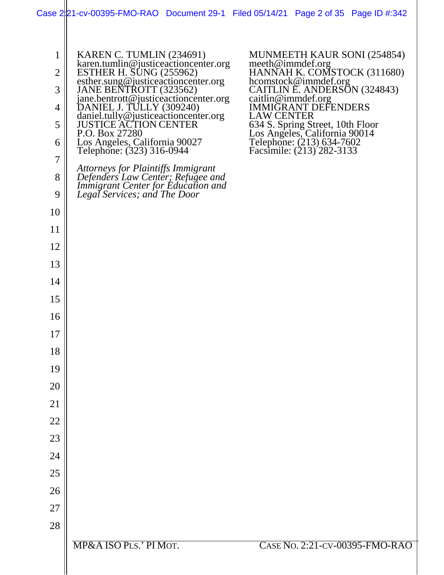|  | Case 2221-cv-00395-FMO-RAO Document 29-1 Filed 05/14/21 Page 2 of 35 Page ID #:342 |  |  |
|--|------------------------------------------------------------------------------------|--|--|
|  |                                                                                    |  |  |

| $\mathbf 1$    | KAREN C. TUMLIN (234691)                                                                                                           | MUNMEETH KAUR SONI (254854)                                                                                                 |
|----------------|------------------------------------------------------------------------------------------------------------------------------------|-----------------------------------------------------------------------------------------------------------------------------|
| $\overline{2}$ | karen.tumlin@justiceactioncenter.org<br>ESTHER H. SUNG (255962)<br>esther.sung@justiceactioncenter.org                             | meeth@immdef.org<br>HANNAH K. COMSTOCK (311680)                                                                             |
| 3              | JANE BENTROTT (323562)                                                                                                             | hcomstock@immdef.org<br>CAITLIN E. ANDERSON (324843)                                                                        |
| 4              | jane.bentrott@justiceactioncenter.org<br>DANIEL J. TULLY (309240)<br>daniel.tully@justiceactioncenter.org<br>JUSTICE ACTION CENTER | caitlin@immdef.org<br><b>IMMIGRANT DEFENDERS</b>                                                                            |
| 5              |                                                                                                                                    | <b>LAW CENTER</b>                                                                                                           |
| 6              | P.O. Box 27280<br>Los Angeles, California 90027                                                                                    | 634 S. Spring Street, 10th Floor<br>Los Angeles, California 90014<br>Telephone: (213) 634-7602<br>Facsimile: (213) 282-3133 |
| 7              | Telephone: (323) 316-0944                                                                                                          |                                                                                                                             |
| 8              | <b>Attorneys for Plaintiffs Immigrant</b>                                                                                          |                                                                                                                             |
| 9              | Defenders Law Center; Refugee and<br>Immigrant Center for Education and<br>Legal Services; and The Door                            |                                                                                                                             |
| 10             |                                                                                                                                    |                                                                                                                             |
| 11             |                                                                                                                                    |                                                                                                                             |
| 12             |                                                                                                                                    |                                                                                                                             |
| 13             |                                                                                                                                    |                                                                                                                             |
| 14             |                                                                                                                                    |                                                                                                                             |
| 15             |                                                                                                                                    |                                                                                                                             |
| 16             |                                                                                                                                    |                                                                                                                             |
| 17             |                                                                                                                                    |                                                                                                                             |
| 18             |                                                                                                                                    |                                                                                                                             |
| 19             |                                                                                                                                    |                                                                                                                             |
| 20             |                                                                                                                                    |                                                                                                                             |
| 21             |                                                                                                                                    |                                                                                                                             |
| 22             |                                                                                                                                    |                                                                                                                             |
| 23             |                                                                                                                                    |                                                                                                                             |
| 24             |                                                                                                                                    |                                                                                                                             |
| 25             |                                                                                                                                    |                                                                                                                             |
| 26             |                                                                                                                                    |                                                                                                                             |
| 27             |                                                                                                                                    |                                                                                                                             |
| 28             |                                                                                                                                    |                                                                                                                             |
|                | MP&A ISO PLS.' PI MOT.                                                                                                             | CASE No. 2:21-CV-00395-FMO-RAO                                                                                              |
|                |                                                                                                                                    |                                                                                                                             |
|                |                                                                                                                                    |                                                                                                                             |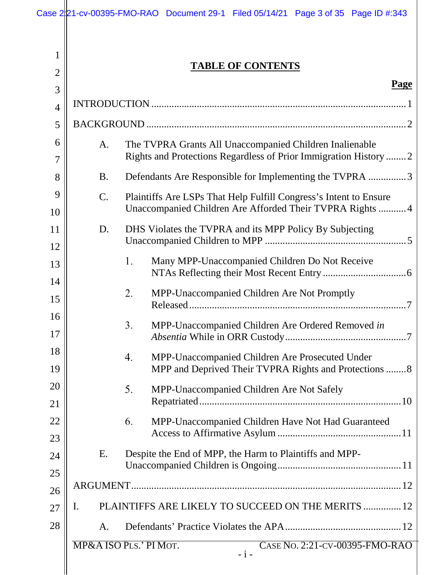| 1                   | <b>TABLE OF CONTENTS</b>                                                                                                                |
|---------------------|-----------------------------------------------------------------------------------------------------------------------------------------|
| $\overline{2}$<br>3 | <b>Page</b>                                                                                                                             |
| $\overline{4}$      |                                                                                                                                         |
| 5                   |                                                                                                                                         |
| 6<br>7              | A.<br>The TVPRA Grants All Unaccompanied Children Inalienable<br>Rights and Protections Regardless of Prior Immigration History  2      |
| 8                   | Defendants Are Responsible for Implementing the TVPRA 3<br><b>B.</b>                                                                    |
| 9<br>10             | $C$ .<br>Plaintiffs Are LSPs That Help Fulfill Congress's Intent to Ensure<br>Unaccompanied Children Are Afforded Their TVPRA Rights  4 |
| 11<br>12            | DHS Violates the TVPRA and its MPP Policy By Subjecting<br>D.                                                                           |
| 13<br>14            | Many MPP-Unaccompanied Children Do Not Receive<br>1.                                                                                    |
| 15                  | MPP-Unaccompanied Children Are Not Promptly<br>2.                                                                                       |
| 16<br>17            | 3.<br>MPP-Unaccompanied Children Are Ordered Removed in                                                                                 |
| 18<br>19            | MPP-Unaccompanied Children Are Prosecuted Under<br>4.<br>MPP and Deprived Their TVPRA Rights and Protections 8                          |
| 20<br>21            | 5.<br>MPP-Unaccompanied Children Are Not Safely                                                                                         |
| 22<br>23            | MPP-Unaccompanied Children Have Not Had Guaranteed<br>6.                                                                                |
| 24                  | Despite the End of MPP, the Harm to Plaintiffs and MPP-<br>Ε.                                                                           |
| 25<br>26            |                                                                                                                                         |
| 27                  | PLAINTIFFS ARE LIKELY TO SUCCEED ON THE MERITS  12<br>I.                                                                                |
| 28                  | A.                                                                                                                                      |
|                     | MP&A ISO PLS.' PI MOT.<br>CASE No. 2:21-CV-00395-FMO-RAO<br>$-i-$                                                                       |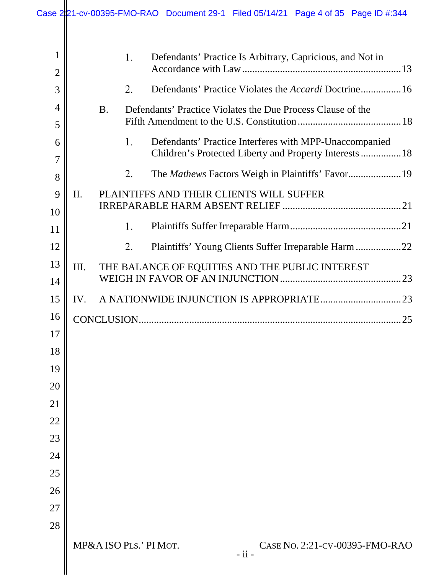|                     |              |           |    | Case $2 21$ -cv-00395-FMO-RAO Document 29-1 Filed 05/14/21 Page 4 of 35 Page ID #:344 |
|---------------------|--------------|-----------|----|---------------------------------------------------------------------------------------|
| 1<br>$\overline{2}$ |              |           | 1. | Defendants' Practice Is Arbitrary, Capricious, and Not in                             |
| 3                   |              |           | 2. | Defendants' Practice Violates the <i>Accardi</i> Doctrine16                           |
| $\overline{4}$      |              | <b>B.</b> |    | Defendants' Practice Violates the Due Process Clause of the                           |
| 5                   |              |           |    |                                                                                       |
| 6                   |              |           | 1. | Defendants' Practice Interferes with MPP-Unaccompanied                                |
| $\overline{7}$      |              |           |    | Children's Protected Liberty and Property Interests  18                               |
| 8                   |              |           | 2. |                                                                                       |
| 9                   | $\mathbf{I}$ |           |    | PLAINTIFFS AND THEIR CLIENTS WILL SUFFER                                              |
| 10                  |              |           |    |                                                                                       |
| 11                  |              |           | 1. |                                                                                       |
| 12                  |              |           | 2. | Plaintiffs' Young Clients Suffer Irreparable Harm22                                   |
| 13                  | III.         |           |    | THE BALANCE OF EQUITIES AND THE PUBLIC INTEREST                                       |
| 14                  |              |           |    |                                                                                       |
| 15                  | IV.          |           |    |                                                                                       |
| 16                  |              |           |    |                                                                                       |
| 17                  |              |           |    |                                                                                       |
| 18                  |              |           |    |                                                                                       |
| 19                  |              |           |    |                                                                                       |
| 20                  |              |           |    |                                                                                       |
| 21                  |              |           |    |                                                                                       |
| 22                  |              |           |    |                                                                                       |
| 23                  |              |           |    |                                                                                       |
| 24<br>25            |              |           |    |                                                                                       |
| 26                  |              |           |    |                                                                                       |
| 27                  |              |           |    |                                                                                       |
| 28                  |              |           |    |                                                                                       |
|                     |              |           |    | MP&A ISO PLS.' PI MOT.<br>CASE No. 2:21-CV-00395-FMO-RAO<br>- ii -                    |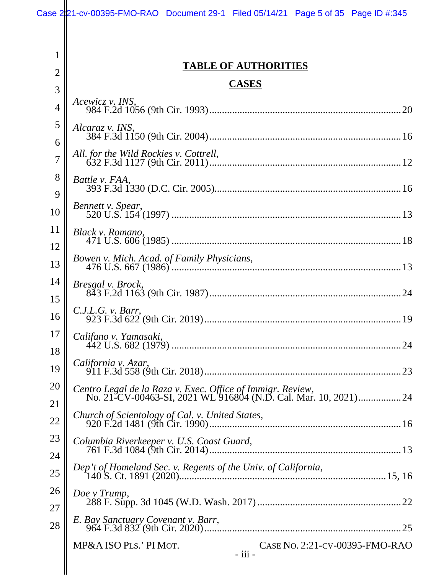1

2

## **TABLE OF AUTHORITIES**

### **CASES**

| 3              | CADED                                                                                                                        |
|----------------|------------------------------------------------------------------------------------------------------------------------------|
| $\overline{4}$ | Acewicz v. INS,                                                                                                              |
| 5<br>6         | Alcaraz v. INS,                                                                                                              |
| $\overline{7}$ | All. for the Wild Rockies v. Cottrell,                                                                                       |
| 8<br>9         | Battle v. FAA,                                                                                                               |
| 10             | Bennett v. Spear,                                                                                                            |
| 11             | Black v. Romano,                                                                                                             |
| 12<br>13       | Bowen v. Mich. Acad. of Family Physicians,                                                                                   |
| 14             | Bresgal v. Brock,                                                                                                            |
| 15<br>16       | C.J.L.G. v. Barr,                                                                                                            |
| 17             | Califano v. Yamasaki,                                                                                                        |
| 18<br>19       | California v. Azar,                                                                                                          |
| 20             | Centro Legal de la Raza v. Exec. Office of Immigr. Review,<br>No. 21-CV-00463-SI, 2021 WL 916804 (N.D. Cal. Mar. 10, 2021)24 |
| 21             | Church of Scientology of Cal. v. United States,                                                                              |
| 22<br>23       | Columbia Riverkeeper v. U.S. Coast Guard,                                                                                    |
| 24             |                                                                                                                              |
| 25<br>26       | Dep't of Homeland Sec. v. Regents of the Univ. of California,                                                                |
| 27             | Doe v Trump,                                                                                                                 |
| 28             | E. Bay Sanctuary Covenant v. Barr,                                                                                           |
|                | CASE No. 2:21-CV-00395-FMO-RAO<br>MP&A ISO PLS.' PI MOT.<br>- iii -                                                          |
|                |                                                                                                                              |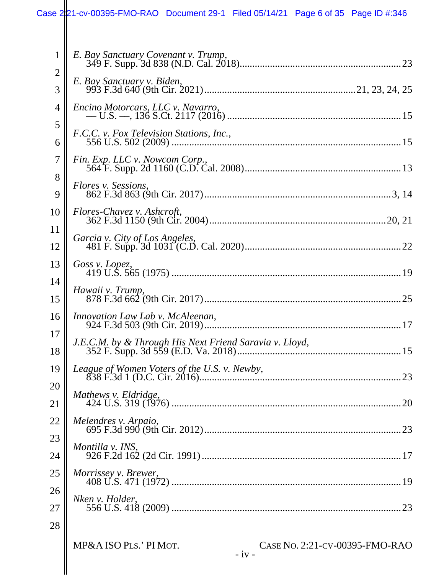| 1                   | E. Bay Sanctuary Covenant v. Trump,                                 |
|---------------------|---------------------------------------------------------------------|
| $\overline{2}$<br>3 | E. Bay Sanctuary v. Biden,                                          |
| $\overline{4}$      | Encino Motorcars, LLC v. Navarro,                                   |
| 5<br>6              | F.C.C. v. Fox Television Stations, Inc.,                            |
| $\overline{7}$      | Fin. Exp. LLC v. Nowcom Corp.,                                      |
| 8                   | Flores v. Sessions,                                                 |
| 9                   |                                                                     |
| 10<br>11            | Flores-Chavez v. Ashcroft,                                          |
| 12                  | Garcia v. City of Los Angeles,                                      |
| 13                  | Goss v. Lopez,                                                      |
| 14<br>15            | Hawaii v. Trump,                                                    |
| 16                  | Innovation Law Lab v. McAleenan,                                    |
| 17<br>18            | J.E.C.M. by & Through His Next Friend Saravia v. Lloyd,             |
| 19                  |                                                                     |
| 20                  | Mathews v. Eldridge,                                                |
| 21                  |                                                                     |
| 22<br>23            |                                                                     |
| 24                  | Montilla v. INS,                                                    |
| 25                  | Morrissey v. Brewer,                                                |
| 26                  | Nken v. Holder,                                                     |
| 27<br>28            |                                                                     |
|                     | MP&A ISO PLS.' PI MOT.<br>CASE No. 2:21-CV-00395-FMO-RAO<br>$-iv -$ |
|                     |                                                                     |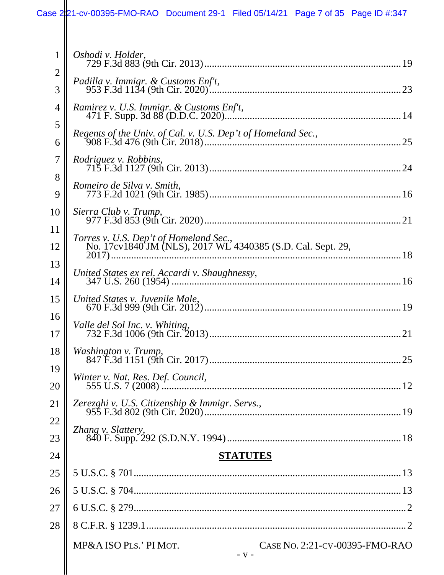# Case 2:21-cv-00395-FMO-RAO Document 29-1 Filed 05/14/21 Page 7 of 35 Page ID #:347

| $\mathbf{1}$   | Oshodi v. Holder,                                                   |
|----------------|---------------------------------------------------------------------|
| 2<br>3         | Padilla v. Immigr. & Customs Enf't,                                 |
| 4              | Ramirez v. U.S. Immigr. & Customs Enf't,                            |
| 5<br>6         |                                                                     |
| $\overline{7}$ | <i>Rodriguez v. Robbins,</i>                                        |
| 8<br>9         | Romeiro de Silva v. Smith,                                          |
| 10             | Sierra Club v. Trump,                                               |
| 11<br>12       |                                                                     |
| 13<br>14       |                                                                     |
| 15             | United States v. Juvenile Male,                                     |
| 16<br>17       | Valle del Sol Inc. v. Whiting,                                      |
| 18             |                                                                     |
| 19<br>20       | Winter v. Nat. Res. Def. Council,                                   |
| 21             |                                                                     |
| 22<br>23       |                                                                     |
| 24             | <b>STATUTES</b>                                                     |
| 25             |                                                                     |
| 26             |                                                                     |
| 27             |                                                                     |
| 28             |                                                                     |
|                | CASE No. 2:21-CV-00395-FMO-RAO<br>MP&A ISO PLS.' PI MOT.<br>$- V -$ |
|                |                                                                     |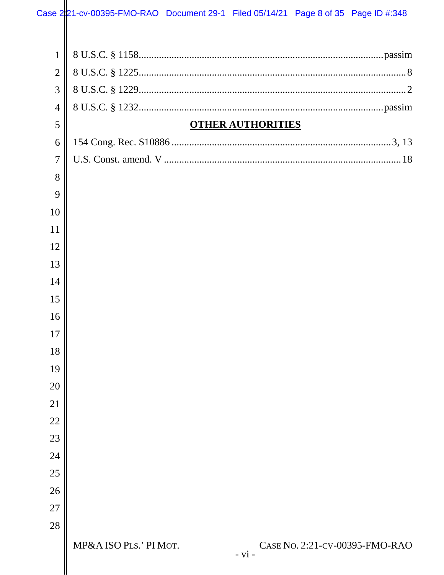| $\mathbf{1}$   |                                                                      |  |
|----------------|----------------------------------------------------------------------|--|
| $\overline{2}$ |                                                                      |  |
| 3              |                                                                      |  |
| $\overline{4}$ |                                                                      |  |
| 5              | <b>OTHER AUTHORITIES</b>                                             |  |
| 6              |                                                                      |  |
| $\overline{7}$ |                                                                      |  |
| 8              |                                                                      |  |
| 9              |                                                                      |  |
| 10             |                                                                      |  |
| 11             |                                                                      |  |
| 12             |                                                                      |  |
| 13             |                                                                      |  |
| 14             |                                                                      |  |
| 15             |                                                                      |  |
| 16             |                                                                      |  |
| 17             |                                                                      |  |
| 18             |                                                                      |  |
| 19             |                                                                      |  |
| 20             |                                                                      |  |
| 21             |                                                                      |  |
| 22             |                                                                      |  |
| 23             |                                                                      |  |
| 24             |                                                                      |  |
| 25             |                                                                      |  |
| 26             |                                                                      |  |
| 27             |                                                                      |  |
| 28             |                                                                      |  |
|                | MP&A ISO PLS.' PI MOT.<br>CASE No. 2:21-CV-00395-FMO-RAO<br>$- vi -$ |  |
|                |                                                                      |  |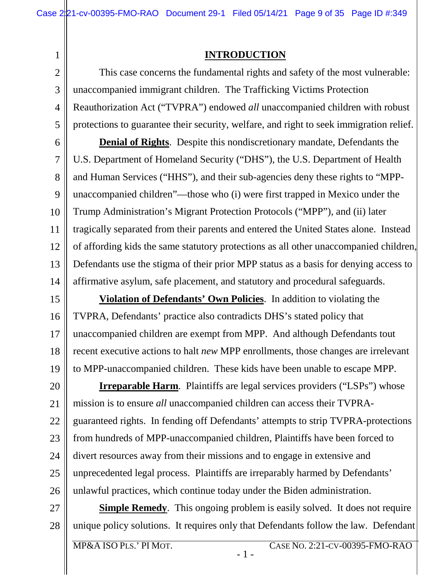### **INTRODUCTION**

<span id="page-8-0"></span>2 3 4 5 This case concerns the fundamental rights and safety of the most vulnerable: unaccompanied immigrant children. The Trafficking Victims Protection Reauthorization Act ("TVPRA") endowed *all* unaccompanied children with robust protections to guarantee their security, welfare, and right to seek immigration relief.

6 7 8 9 10 11 12 13 14 **Denial of Rights**. Despite this nondiscretionary mandate, Defendants the U.S. Department of Homeland Security ("DHS"), the U.S. Department of Health and Human Services ("HHS"), and their sub-agencies deny these rights to "MPPunaccompanied children"—those who (i) were first trapped in Mexico under the Trump Administration's Migrant Protection Protocols ("MPP"), and (ii) later tragically separated from their parents and entered the United States alone. Instead of affording kids the same statutory protections as all other unaccompanied children, Defendants use the stigma of their prior MPP status as a basis for denying access to affirmative asylum, safe placement, and statutory and procedural safeguards.

15 16 17 18 19 **Violation of Defendants' Own Policies**. In addition to violating the TVPRA, Defendants' practice also contradicts DHS's stated policy that unaccompanied children are exempt from MPP. And although Defendants tout recent executive actions to halt *new* MPP enrollments, those changes are irrelevant to MPP-unaccompanied children. These kids have been unable to escape MPP.

20 21 22 23 24 25 26 **Irreparable Harm.** Plaintiffs are legal services providers ("LSPs") whose mission is to ensure *all* unaccompanied children can access their TVPRAguaranteed rights. In fending off Defendants' attempts to strip TVPRA-protections from hundreds of MPP-unaccompanied children, Plaintiffs have been forced to divert resources away from their missions and to engage in extensive and unprecedented legal process. Plaintiffs are irreparably harmed by Defendants' unlawful practices, which continue today under the Biden administration.

27 28 **Simple Remedy**. This ongoing problem is easily solved. It does not require unique policy solutions. It requires only that Defendants follow the law. Defendant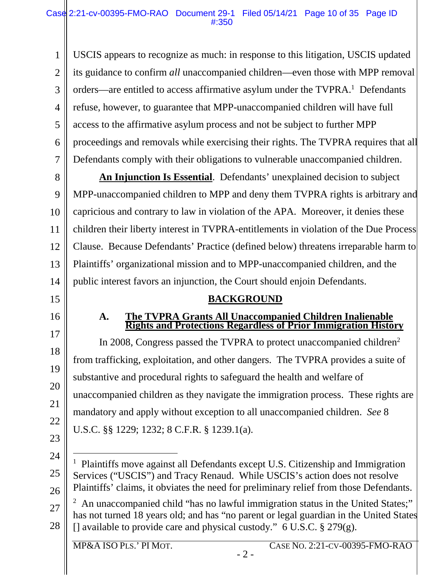1 2 3 4 5 6 7 USCIS appears to recognize as much: in response to this litigation, USCIS updated its guidance to confirm *all* unaccompanied children—even those with MPP removal orders—are entitled to access affirmative asylum under the  $TVPRA$ <sup>1</sup>. Defendants refuse, however, to guarantee that MPP-unaccompanied children will have full access to the affirmative asylum process and not be subject to further MPP proceedings and removals while exercising their rights. The TVPRA requires that all Defendants comply with their obligations to vulnerable unaccompanied children.

8 9 10 11 12 13 14 **An Injunction Is Essential**. Defendants' unexplained decision to subject MPP-unaccompanied children to MPP and deny them TVPRA rights is arbitrary and capricious and contrary to law in violation of the APA. Moreover, it denies these children their liberty interest in TVPRA-entitlements in violation of the Due Process Clause. Because Defendants' Practice (defined below) threatens irreparable harm to Plaintiffs' organizational mission and to MPP-unaccompanied children, and the public interest favors an injunction, the Court should enjoin Defendants.

### **BACKGROUND**

### **A. The TVPRA Grants All Unaccompanied Children Inalienable Rights and Protections Regardless of Prior Immigration History**

In 2008, Congress passed the TVPRA to protect unaccompanied children<sup>2</sup> from trafficking, exploitation, and other dangers. The TVPRA provides a suite of substantive and procedural rights to safeguard the health and welfare of unaccompanied children as they navigate the immigration process. These rights are mandatory and apply without exception to all unaccompanied children. *See* 8 U.S.C. §§ 1229; 1232; 8 C.F.R. § 1239.1(a).

<span id="page-9-0"></span>15

<span id="page-9-1"></span>16

17

18

19

20

21

22

<sup>24</sup>  25 26  $\overline{a}$ <sup>1</sup> Plaintiffs move against all Defendants except U.S. Citizenship and Immigration Services ("USCIS") and Tracy Renaud. While USCIS's action does not resolve Plaintiffs' claims, it obviates the need for preliminary relief from those Defendants.

<sup>27</sup>  28 <sup>2</sup> An unaccompanied child "has no lawful immigration status in the United States;" has not turned 18 years old; and has "no parent or legal guardian in the United States [] available to provide care and physical custody."  $6$  U.S.C.  $\S$  279(g).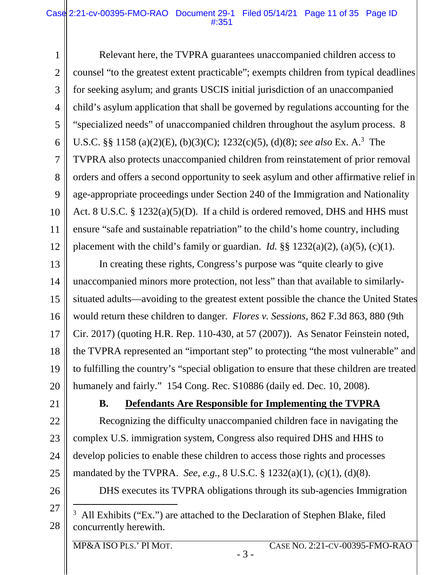#### Case 2:21-cv-00395-FMO-RAO Document 29-1 Filed 05/14/21 Page 11 of 35 Page ID #:351

1 2 3 4 5 6 7 8 9 10 11 12 Relevant here, the TVPRA guarantees unaccompanied children access to counsel "to the greatest extent practicable"; exempts children from typical deadlines for seeking asylum; and grants USCIS initial jurisdiction of an unaccompanied child's asylum application that shall be governed by regulations accounting for the "specialized needs" of unaccompanied children throughout the asylum process. 8 U.S.C. §§ 1158 (a)(2)(E), (b)(3)(C); 1232(c)(5), (d)(8); *see also* Ex. A.<sup>3</sup> The TVPRA also protects unaccompanied children from reinstatement of prior removal orders and offers a second opportunity to seek asylum and other affirmative relief in age-appropriate proceedings under Section 240 of the Immigration and Nationality Act. 8 U.S.C. § 1232(a)(5)(D). If a child is ordered removed, DHS and HHS must ensure "safe and sustainable repatriation" to the child's home country, including placement with the child's family or guardian. *Id.*  $\S$ § 1232(a)(2), (a)(5), (c)(1).

13 14 15 16 17 18 19 20 In creating these rights, Congress's purpose was "quite clearly to give unaccompanied minors more protection, not less" than that available to similarlysituated adults—avoiding to the greatest extent possible the chance the United States would return these children to danger. *Flores v. Sessions*, 862 F.3d 863, 880 (9th Cir. 2017) (quoting H.R. Rep. 110-430, at 57 (2007)). As Senator Feinstein noted, the TVPRA represented an "important step" to protecting "the most vulnerable" and to fulfilling the country's "special obligation to ensure that these children are treated humanely and fairly." 154 Cong. Rec. S10886 (daily ed. Dec. 10, 2008).

<span id="page-10-0"></span>21

22

23

24

25

### **B. Defendants Are Responsible for Implementing the TVPRA**

Recognizing the difficulty unaccompanied children face in navigating the complex U.S. immigration system, Congress also required DHS and HHS to develop policies to enable these children to access those rights and processes mandated by the TVPRA. *See*, *e.g.*, 8 U.S.C. § 1232(a)(1), (c)(1), (d)(8).

26

27

 $\overline{a}$ 

DHS executes its TVPRA obligations through its sub-agencies Immigration

28 <sup>3</sup> All Exhibits ("Ex.") are attached to the Declaration of Stephen Blake, filed concurrently herewith.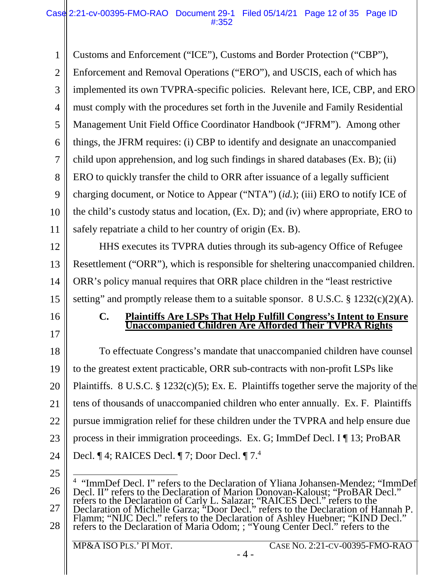1 2 3 4 5 6 7 8 9 10 11 Customs and Enforcement ("ICE"), Customs and Border Protection ("CBP"), Enforcement and Removal Operations ("ERO"), and USCIS, each of which has implemented its own TVPRA-specific policies. Relevant here, ICE, CBP, and ERO must comply with the procedures set forth in the Juvenile and Family Residential Management Unit Field Office Coordinator Handbook ("JFRM"). Among other things, the JFRM requires: (i) CBP to identify and designate an unaccompanied child upon apprehension, and log such findings in shared databases (Ex. B); (ii) ERO to quickly transfer the child to ORR after issuance of a legally sufficient charging document, or Notice to Appear ("NTA") (*id.*); (iii) ERO to notify ICE of the child's custody status and location, (Ex. D); and (iv) where appropriate, ERO to safely repatriate a child to her country of origin (Ex. B).

12 13 14 15 HHS executes its TVPRA duties through its sub-agency Office of Refugee Resettlement ("ORR"), which is responsible for sheltering unaccompanied children. ORR's policy manual requires that ORR place children in the "least restrictive setting" and promptly release them to a suitable sponsor.  $8 \text{ U.S.C.} \$   $1232(c)(2)(\text{A})$ .

#### **C. Plaintiffs Are LSPs That Help Fulfill Congress's Intent to Ensure Unaccompanied Children Are Afforded Their TVPRA Rights**

18 19 20 21 22 23 24 To effectuate Congress's mandate that unaccompanied children have counsel to the greatest extent practicable, ORR sub-contracts with non-profit LSPs like Plaintiffs. 8 U.S.C. § 1232(c)(5); Ex. E. Plaintiffs together serve the majority of the tens of thousands of unaccompanied children who enter annually. Ex. F. Plaintiffs pursue immigration relief for these children under the TVPRA and help ensure due process in their immigration proceedings. Ex. G; ImmDef Decl. I ¶ 13; ProBAR Decl. ¶ 4; RAICES Decl. ¶ 7; Door Decl. ¶ 7.<sup>4</sup>

25

<span id="page-11-0"></span>16

17

26 27 28 4 "ImmDef Decl. I" refers to the Declaration of Yliana Johansen-Mendez; "ImmDef Decl. II" refers to the Declaration of Marion Donovan-Kaloust; "ProBAR Decl." refers to the Declaration of Carly L. Salazar; "RAICES Decl." refers to the Declaration of Michelle Garza; "Door Decl." refers to the Declaration of Hannah P. Flamm; "NIJC Decl." refers to the Declaration of Ashley Huebner; "KIND Decl." refers to the Declaration of Maria Odom; ; "Young Center Decl." refers to the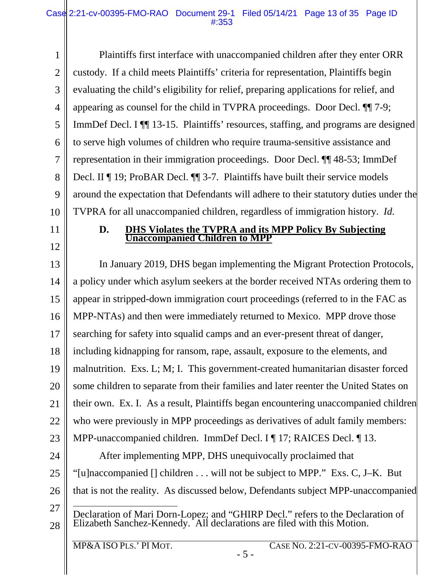1 2 3 4 5 6 7 8 9 10 Plaintiffs first interface with unaccompanied children after they enter ORR custody. If a child meets Plaintiffs' criteria for representation, Plaintiffs begin evaluating the child's eligibility for relief, preparing applications for relief, and appearing as counsel for the child in TVPRA proceedings. Door Decl. ¶¶ 7-9; ImmDef Decl. I ¶¶ 13-15. Plaintiffs' resources, staffing, and programs are designed to serve high volumes of children who require trauma-sensitive assistance and representation in their immigration proceedings. Door Decl. ¶¶ 48-53; ImmDef Decl. II ¶ 19; ProBAR Decl. ¶¶ 3-7. Plaintiffs have built their service models around the expectation that Defendants will adhere to their statutory duties under the TVPRA for all unaccompanied children, regardless of immigration history. *Id.*

- <span id="page-12-0"></span>11
- 12

### **D. DHS Violates the TVPRA and its MPP Policy By Subjecting Unaccompanied Children to MPP**

13 14 15 16 17 18 19 20 21 22 23 24 25 In January 2019, DHS began implementing the Migrant Protection Protocols, a policy under which asylum seekers at the border received NTAs ordering them to appear in stripped-down immigration court proceedings (referred to in the FAC as MPP-NTAs) and then were immediately returned to Mexico. MPP drove those searching for safety into squalid camps and an ever-present threat of danger, including kidnapping for ransom, rape, assault, exposure to the elements, and malnutrition. Exs. L; M; I. This government-created humanitarian disaster forced some children to separate from their families and later reenter the United States on their own. Ex. I. As a result, Plaintiffs began encountering unaccompanied children who were previously in MPP proceedings as derivatives of adult family members: MPP-unaccompanied children. ImmDef Decl. I ¶ 17; RAICES Decl. ¶ 13. After implementing MPP, DHS unequivocally proclaimed that "[u]naccompanied [] children . . . will not be subject to MPP." Exs. C, J–K. But

26 that is not the reality. As discussed below, Defendants subject MPP-unaccompanied

- 27
- 28 l Declaration of Mari Dorn-Lopez; and "GHIRP Decl." refers to the Declaration of Elizabeth Sanchez-Kennedy. All declarations are filed with this Motion.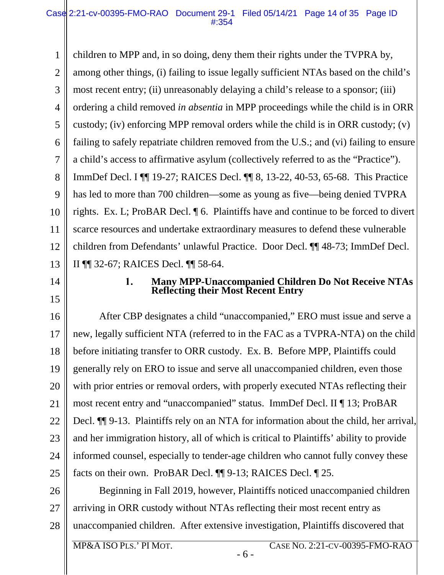1 2 3 4 5 6 7 8 9 10 11 12 13 children to MPP and, in so doing, deny them their rights under the TVPRA by, among other things, (i) failing to issue legally sufficient NTAs based on the child's most recent entry; (ii) unreasonably delaying a child's release to a sponsor; (iii) ordering a child removed *in absentia* in MPP proceedings while the child is in ORR custody; (iv) enforcing MPP removal orders while the child is in ORR custody; (v) failing to safely repatriate children removed from the U.S.; and (vi) failing to ensure a child's access to affirmative asylum (collectively referred to as the "Practice"). ImmDef Decl. I ¶¶ 19-27; RAICES Decl. ¶¶ 8, 13-22, 40-53, 65-68. This Practice has led to more than 700 children—some as young as five—being denied TVPRA rights. Ex. L; ProBAR Decl. ¶ 6. Plaintiffs have and continue to be forced to divert scarce resources and undertake extraordinary measures to defend these vulnerable children from Defendants' unlawful Practice. Door Decl. ¶¶ 48-73; ImmDef Decl. II ¶¶ 32-67; RAICES Decl. ¶¶ 58-64.

<span id="page-13-0"></span>14

15

#### 1. **Many MPP-Unaccompanied Children Do Not Receive NTAs Reflecting their Most Recent Entry**

16 17 18 19 20 21 22 23 24 25 After CBP designates a child "unaccompanied," ERO must issue and serve a new, legally sufficient NTA (referred to in the FAC as a TVPRA-NTA) on the child before initiating transfer to ORR custody. Ex. B. Before MPP, Plaintiffs could generally rely on ERO to issue and serve all unaccompanied children, even those with prior entries or removal orders, with properly executed NTAs reflecting their most recent entry and "unaccompanied" status. ImmDef Decl. II ¶ 13; ProBAR Decl.  $\P$  9-13. Plaintiffs rely on an NTA for information about the child, her arrival, and her immigration history, all of which is critical to Plaintiffs' ability to provide informed counsel, especially to tender-age children who cannot fully convey these facts on their own. ProBAR Decl. ¶¶ 9-13; RAICES Decl. ¶ 25.

26 27 28 Beginning in Fall 2019, however, Plaintiffs noticed unaccompanied children arriving in ORR custody without NTAs reflecting their most recent entry as unaccompanied children. After extensive investigation, Plaintiffs discovered that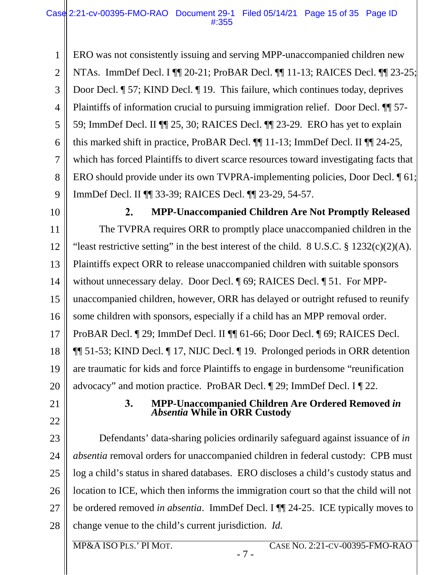1 2 3 4 5 6 7 8 9 ERO was not consistently issuing and serving MPP-unaccompanied children new NTAs. ImmDef Decl. I ¶¶ 20-21; ProBAR Decl. ¶¶ 11-13; RAICES Decl. ¶¶ 23-25; Door Decl. ¶ 57; KIND Decl. ¶ 19. This failure, which continues today, deprives Plaintiffs of information crucial to pursuing immigration relief. Door Decl. ¶¶ 57- 59; ImmDef Decl. II ¶¶ 25, 30; RAICES Decl. ¶¶ 23-29. ERO has yet to explain this marked shift in practice, ProBAR Decl. ¶¶ 11-13; ImmDef Decl. II ¶¶ 24-25, which has forced Plaintiffs to divert scarce resources toward investigating facts that ERO should provide under its own TVPRA-implementing policies, Door Decl. ¶ 61; ImmDef Decl. II ¶¶ 33-39; RAICES Decl. ¶¶ 23-29, 54-57.

<span id="page-14-0"></span>10

11

12

13

14

15

17

18

19

20

 $2.$ **MPP-Unaccompanied Children Are Not Promptly Released**  The TVPRA requires ORR to promptly place unaccompanied children in the "least restrictive setting" in the best interest of the child.  $8 \text{ U.S.C.} \$   $1232(c)(2)(\text{A})$ . Plaintiffs expect ORR to release unaccompanied children with suitable sponsors without unnecessary delay. Door Decl. ¶ 69; RAICES Decl. ¶ 51. For MPPunaccompanied children, however, ORR has delayed or outright refused to reunify some children with sponsors, especially if a child has an MPP removal order. 16 ProBAR Decl. ¶ 29; ImmDef Decl. II ¶¶ 61-66; Door Decl. ¶ 69; RAICES Decl. ¶¶ 51-53; KIND Decl. ¶ 17, NIJC Decl. ¶ 19. Prolonged periods in ORR detention are traumatic for kids and force Plaintiffs to engage in burdensome "reunification advocacy" and motion practice. ProBAR Decl. ¶ 29; ImmDef Decl. I ¶ 22.

<span id="page-14-1"></span>21

# 22

- 23
- 24
- 25
- 27

#### $3.$ **MPP-Unaccompanied Children Are Ordered Removed** *in Absentia* **While in ORR Custody**

26 28 Defendants' data-sharing policies ordinarily safeguard against issuance of *in absentia* removal orders for unaccompanied children in federal custody: CPB must log a child's status in shared databases. ERO discloses a child's custody status and location to ICE, which then informs the immigration court so that the child will not be ordered removed *in absentia*. ImmDef Decl. I ¶¶ 24-25. ICE typically moves to change venue to the child's current jurisdiction. *Id.*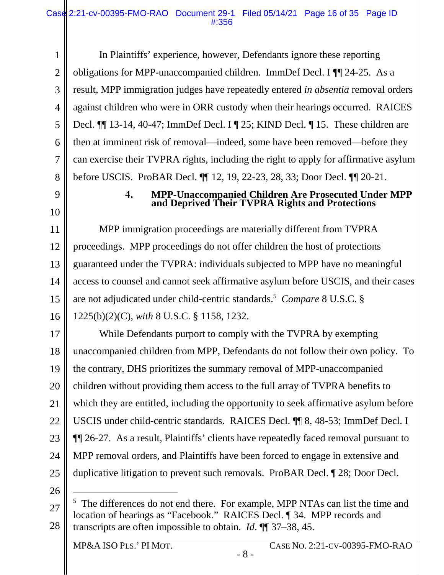1 2 3 4 5 6 7 8 In Plaintiffs' experience, however, Defendants ignore these reporting obligations for MPP-unaccompanied children. ImmDef Decl. I ¶¶ 24-25. As a result, MPP immigration judges have repeatedly entered *in absentia* removal orders against children who were in ORR custody when their hearings occurred. RAICES Decl. ¶¶ 13-14, 40-47; ImmDef Decl. I ¶ 25; KIND Decl. ¶ 15. These children are then at imminent risk of removal—indeed, some have been removed—before they can exercise their TVPRA rights, including the right to apply for affirmative asylum before USCIS. ProBAR Decl. ¶¶ 12, 19, 22-23, 28, 33; Door Decl. ¶¶ 20-21.

<span id="page-15-0"></span>9

10

#### $4.$ **MPP-Unaccompanied Children Are Prosecuted Under MPP and Deprived Their TVPRA Rights and Protections**

11 12 13 14 15 16 MPP immigration proceedings are materially different from TVPRA proceedings. MPP proceedings do not offer children the host of protections guaranteed under the TVPRA: individuals subjected to MPP have no meaningful access to counsel and cannot seek affirmative asylum before USCIS, and their cases are not adjudicated under child-centric standards.<sup>5</sup> *Compare* 8 U.S.C. § 1225(b)(2)(C), *with* 8 U.S.C. § 1158, 1232.

17 18 19 20 21 22 23 24 25 While Defendants purport to comply with the TVPRA by exempting unaccompanied children from MPP, Defendants do not follow their own policy. To the contrary, DHS prioritizes the summary removal of MPP-unaccompanied children without providing them access to the full array of TVPRA benefits to which they are entitled, including the opportunity to seek affirmative asylum before USCIS under child-centric standards. RAICES Decl. ¶¶ 8, 48-53; ImmDef Decl. I ¶¶ 26-27. As a result, Plaintiffs' clients have repeatedly faced removal pursuant to MPP removal orders, and Plaintiffs have been forced to engage in extensive and duplicative litigation to prevent such removals. ProBAR Decl. ¶ 28; Door Decl.

<sup>27</sup>  28  $\overline{a}$ <sup>5</sup> The differences do not end there. For example, MPP NTAs can list the time and location of hearings as "Facebook." RAICES Decl. ¶ 34. MPP records and transcripts are often impossible to obtain. *Id*. ¶¶ 37–38, 45.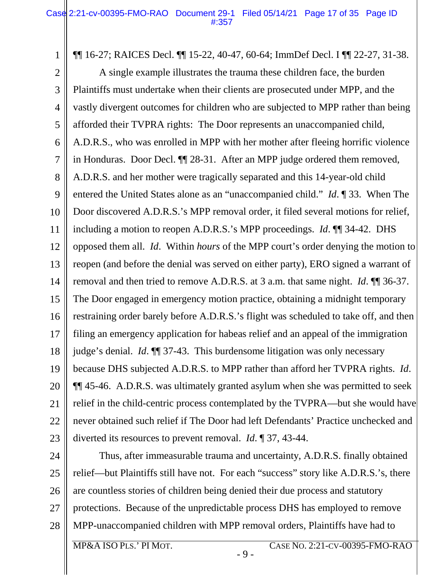¶¶ 16-27; RAICES Decl. ¶¶ 15-22, 40-47, 60-64; ImmDef Decl. I ¶¶ 22-27, 31-38.

2 3 4 5 6 7 8 9 10 11 12 13 14 15 16 17 18 19 20 21 22 23 A single example illustrates the trauma these children face, the burden Plaintiffs must undertake when their clients are prosecuted under MPP, and the vastly divergent outcomes for children who are subjected to MPP rather than being afforded their TVPRA rights: The Door represents an unaccompanied child, A.D.R.S., who was enrolled in MPP with her mother after fleeing horrific violence in Honduras. Door Decl. ¶¶ 28-31. After an MPP judge ordered them removed, A.D.R.S. and her mother were tragically separated and this 14-year-old child entered the United States alone as an "unaccompanied child." *Id*. ¶ 33. When The Door discovered A.D.R.S.'s MPP removal order, it filed several motions for relief, including a motion to reopen A.D.R.S.'s MPP proceedings. *Id*. ¶¶ 34-42. DHS opposed them all. *Id*. Within *hours* of the MPP court's order denying the motion to reopen (and before the denial was served on either party), ERO signed a warrant of removal and then tried to remove A.D.R.S. at 3 a.m. that same night. *Id*. ¶¶ 36-37. The Door engaged in emergency motion practice, obtaining a midnight temporary restraining order barely before A.D.R.S.'s flight was scheduled to take off, and then filing an emergency application for habeas relief and an appeal of the immigration judge's denial. *Id*. ¶¶ 37-43. This burdensome litigation was only necessary because DHS subjected A.D.R.S. to MPP rather than afford her TVPRA rights. *Id*. ¶¶ 45-46. A.D.R.S. was ultimately granted asylum when she was permitted to seek relief in the child-centric process contemplated by the TVPRA—but she would have never obtained such relief if The Door had left Defendants' Practice unchecked and diverted its resources to prevent removal. *Id*. ¶ 37, 43-44.

24 25 26 27 28 Thus, after immeasurable trauma and uncertainty, A.D.R.S. finally obtained relief—but Plaintiffs still have not. For each "success" story like A.D.R.S.'s, there are countless stories of children being denied their due process and statutory protections. Because of the unpredictable process DHS has employed to remove MPP-unaccompanied children with MPP removal orders, Plaintiffs have had to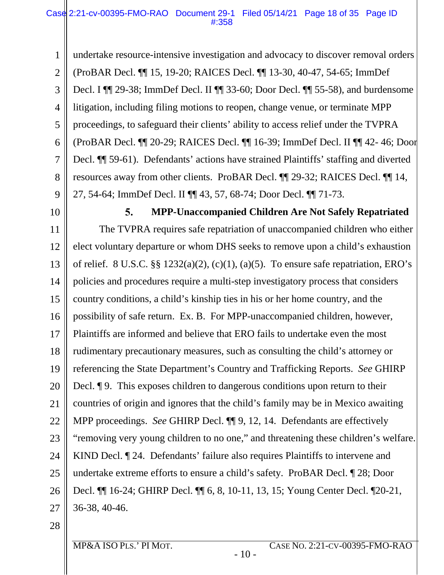1 2 3 4 5 6 7 8 9 undertake resource-intensive investigation and advocacy to discover removal orders (ProBAR Decl. ¶¶ 15, 19-20; RAICES Decl. ¶¶ 13-30, 40-47, 54-65; ImmDef Decl. I ¶¶ 29-38; ImmDef Decl. II ¶¶ 33-60; Door Decl. ¶¶ 55-58), and burdensome litigation, including filing motions to reopen, change venue, or terminate MPP proceedings, to safeguard their clients' ability to access relief under the TVPRA (ProBAR Decl. ¶¶ 20-29; RAICES Decl. ¶¶ 16-39; ImmDef Decl. II ¶¶ 42- 46; Door Decl. ¶¶ 59-61). Defendants' actions have strained Plaintiffs' staffing and diverted resources away from other clients. ProBAR Decl. ¶¶ 29-32; RAICES Decl. ¶¶ 14, 27, 54-64; ImmDef Decl. II ¶¶ 43, 57, 68-74; Door Decl. ¶¶ 71-73.

<span id="page-17-0"></span>10

5. **MPP-Unaccompanied Children Are Not Safely Repatriated**  The TVPRA requires safe repatriation of unaccompanied children who either 11 elect voluntary departure or whom DHS seeks to remove upon a child's exhaustion 12 of relief. 8 U.S.C.  $\S\S 1232(a)(2)$ , (c)(1), (a)(5). To ensure safe repatriation, ERO's 13 policies and procedures require a multi-step investigatory process that considers 14 15 country conditions, a child's kinship ties in his or her home country, and the possibility of safe return. Ex. B. For MPP-unaccompanied children, however, 16 Plaintiffs are informed and believe that ERO fails to undertake even the most 17 18 rudimentary precautionary measures, such as consulting the child's attorney or 19 referencing the State Department's Country and Trafficking Reports. *See* GHIRP 20 Decl. ¶ 9. This exposes children to dangerous conditions upon return to their countries of origin and ignores that the child's family may be in Mexico awaiting 21 MPP proceedings. *See* GHIRP Decl. ¶¶ 9, 12, 14. Defendants are effectively 22 "removing very young children to no one," and threatening these children's welfare. 23 24 KIND Decl. ¶ 24. Defendants' failure also requires Plaintiffs to intervene and undertake extreme efforts to ensure a child's safety. ProBAR Decl. ¶ 28; Door 25 Decl. ¶¶ 16-24; GHIRP Decl. ¶¶ 6, 8, 10-11, 13, 15; Young Center Decl. ¶20-21, 26 36-38, 40-46. 27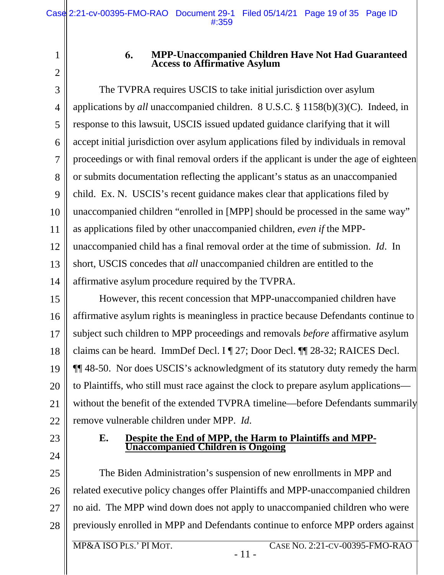2

<span id="page-18-0"></span>1

#### 6. **MPP-Unaccompanied Children Have Not Had Guaranteed Access to Affirmative Asylum**

3 4 5 6 7 8 9 10 11 12 13 14 The TVPRA requires USCIS to take initial jurisdiction over asylum applications by *all* unaccompanied children. 8 U.S.C. § 1158(b)(3)(C). Indeed, in response to this lawsuit, USCIS issued updated guidance clarifying that it will accept initial jurisdiction over asylum applications filed by individuals in removal proceedings or with final removal orders if the applicant is under the age of eighteen or submits documentation reflecting the applicant's status as an unaccompanied child. Ex. N. USCIS's recent guidance makes clear that applications filed by unaccompanied children "enrolled in [MPP] should be processed in the same way" as applications filed by other unaccompanied children, *even if* the MPPunaccompanied child has a final removal order at the time of submission. *Id*. In short, USCIS concedes that *all* unaccompanied children are entitled to the affirmative asylum procedure required by the TVPRA.

15 16 17 18 19 20 21 22 However, this recent concession that MPP-unaccompanied children have affirmative asylum rights is meaningless in practice because Defendants continue to subject such children to MPP proceedings and removals *before* affirmative asylum claims can be heard. ImmDef Decl. I ¶ 27; Door Decl. ¶¶ 28-32; RAICES Decl. ¶¶ 48-50. Nor does USCIS's acknowledgment of its statutory duty remedy the harm to Plaintiffs, who still must race against the clock to prepare asylum applications without the benefit of the extended TVPRA timeline—before Defendants summarily remove vulnerable children under MPP. *Id*.

<span id="page-18-1"></span>23

24

#### **E. Despite the End of MPP, the Harm to Plaintiffs and MPP-Unaccompanied Children is Ongoing**

25 26 27 28 The Biden Administration's suspension of new enrollments in MPP and related executive policy changes offer Plaintiffs and MPP-unaccompanied children no aid. The MPP wind down does not apply to unaccompanied children who were previously enrolled in MPP and Defendants continue to enforce MPP orders against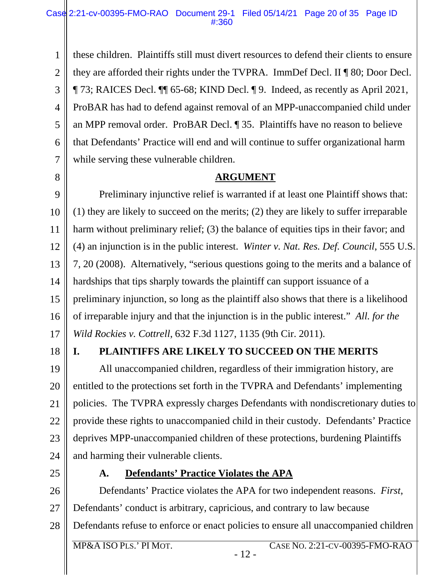1 2 3 4 5 6 7 these children. Plaintiffs still must divert resources to defend their clients to ensure they are afforded their rights under the TVPRA. ImmDef Decl. II ¶ 80; Door Decl. ¶ 73; RAICES Decl. ¶¶ 65-68; KIND Decl. ¶ 9. Indeed, as recently as April 2021, ProBAR has had to defend against removal of an MPP-unaccompanied child under an MPP removal order. ProBAR Decl. ¶ 35. Plaintiffs have no reason to believe that Defendants' Practice will end and will continue to suffer organizational harm while serving these vulnerable children.

**ARGUMENT** 

9 10 11 12 13 14 15 16 17 Preliminary injunctive relief is warranted if at least one Plaintiff shows that: (1) they are likely to succeed on the merits; (2) they are likely to suffer irreparable harm without preliminary relief; (3) the balance of equities tips in their favor; and (4) an injunction is in the public interest. *Winter v. Nat. Res. Def. Council*, 555 U.S. 7, 20 (2008). Alternatively, "serious questions going to the merits and a balance of hardships that tips sharply towards the plaintiff can support issuance of a preliminary injunction, so long as the plaintiff also shows that there is a likelihood of irreparable injury and that the injunction is in the public interest." *All. for the Wild Rockies v. Cottrell*, 632 F.3d 1127, 1135 (9th Cir. 2011).

18

<span id="page-19-0"></span>8

### <span id="page-19-1"></span>**I. PLAINTIFFS ARE LIKELY TO SUCCEED ON THE MERITS**

19 20 21 22 23 24 All unaccompanied children, regardless of their immigration history, are entitled to the protections set forth in the TVPRA and Defendants' implementing policies. The TVPRA expressly charges Defendants with nondiscretionary duties to provide these rights to unaccompanied child in their custody. Defendants' Practice deprives MPP-unaccompanied children of these protections, burdening Plaintiffs and harming their vulnerable clients.

<span id="page-19-2"></span>25

### **A. Defendants' Practice Violates the APA**

26 27 28 Defendants' Practice violates the APA for two independent reasons. *First*, Defendants' conduct is arbitrary, capricious, and contrary to law because Defendants refuse to enforce or enact policies to ensure all unaccompanied children

- 12 -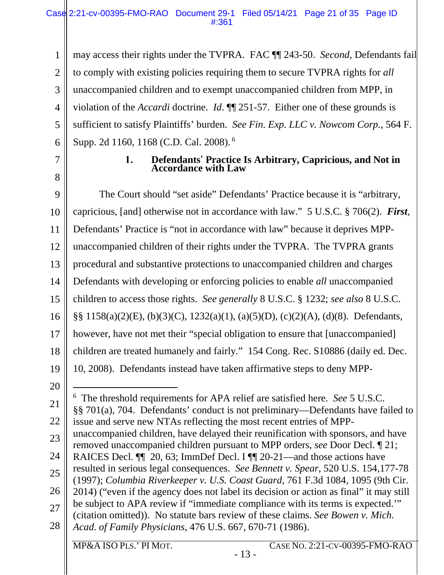1 2 3 4 5 6 may access their rights under the TVPRA. FAC ¶¶ 243-50. *Second*, Defendants fail to comply with existing policies requiring them to secure TVPRA rights for *all* unaccompanied children and to exempt unaccompanied children from MPP, in violation of the *Accardi* doctrine. *Id*. ¶¶ 251-57. Either one of these grounds is sufficient to satisfy Plaintiffs' burden. *See Fin. Exp. LLC v. Nowcom Corp.*, 564 F. Supp. 2d 1160, 1168 (C.D. Cal. 2008).<sup>6</sup>

<span id="page-20-0"></span>7

8

#### 1. **Defendants' Practice Is Arbitrary, Capricious, and Not in Accordance with Law**

9 10 11 12 13 14 15 16 17 18 19 20 21 22 23 24 25 The Court should "set aside" Defendants' Practice because it is "arbitrary, capricious, [and] otherwise not in accordance with law." 5 U.S.C. § 706(2). *First*, Defendants' Practice is "not in accordance with law" because it deprives MPPunaccompanied children of their rights under the TVPRA. The TVPRA grants procedural and substantive protections to unaccompanied children and charges Defendants with developing or enforcing policies to enable *all* unaccompanied children to access those rights. *See generally* 8 U.S.C. § 1232; *see also* 8 U.S.C. §§ 1158(a)(2)(E), (b)(3)(C), 1232(a)(1), (a)(5)(D), (c)(2)(A), (d)(8). Defendants, however, have not met their "special obligation to ensure that [unaccompanied] children are treated humanely and fairly." 154 Cong. Rec. S10886 (daily ed. Dec. 10, 2008). Defendants instead have taken affirmative steps to deny MPP l 6 The threshold requirements for APA relief are satisfied here. *See* 5 U.S.C. §§ 701(a), 704. Defendants' conduct is not preliminary—Defendants have failed to issue and serve new NTAs reflecting the most recent entries of MPPunaccompanied children, have delayed their reunification with sponsors, and have removed unaccompanied children pursuant to MPP orders, *see* Door Decl. ¶ 21; RAICES Decl.  $\P\P$  20, 63; ImmDef Decl. I  $\P\P$  20-21—and those actions have resulted in serious legal consequences. *See Bennett v. Spear*, 520 U.S. 154,177-78

- 26 (1997); *Columbia Riverkeeper v. U.S. Coast Guard*, 761 F.3d 1084, 1095 (9th Cir. 2014) ("even if the agency does not label its decision or action as final" it may still
- be subject to APA review if "immediate compliance with its terms is expected.'"
- 27 (citation omitted)). No statute bars review of these claims. *See Bowen v. Mich.*
- 28 *Acad. of Family Physicians*, 476 U.S. 667, 670-71 (1986).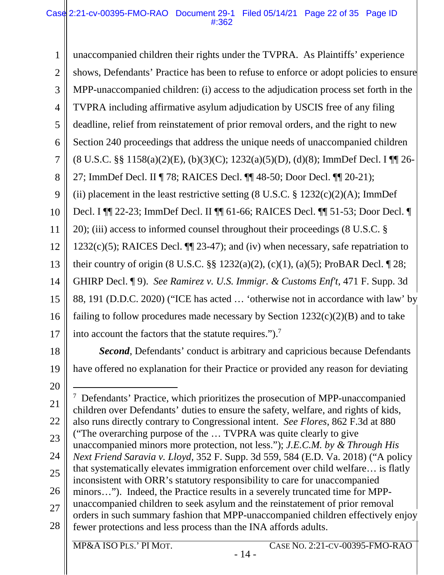1 2 3 4 5 6 7 8 9 10 11 12 13 14 15 16 17 18 unaccompanied children their rights under the TVPRA. As Plaintiffs' experience shows, Defendants' Practice has been to refuse to enforce or adopt policies to ensure MPP-unaccompanied children: (i) access to the adjudication process set forth in the TVPRA including affirmative asylum adjudication by USCIS free of any filing deadline, relief from reinstatement of prior removal orders, and the right to new Section 240 proceedings that address the unique needs of unaccompanied children (8 U.S.C. §§ 1158(a)(2)(E), (b)(3)(C); 1232(a)(5)(D), (d)(8); ImmDef Decl. I ¶¶ 26- 27; ImmDef Decl. II ¶ 78; RAICES Decl. ¶¶ 48-50; Door Decl. ¶¶ 20-21); (ii) placement in the least restrictive setting  $(8 \text{ U.S.C. } §\ 1232(c)(2)(\text{A})$ ; ImmDef Decl. I ¶¶ 22-23; ImmDef Decl. II ¶¶ 61-66; RAICES Decl. ¶¶ 51-53; Door Decl. ¶ 20); (iii) access to informed counsel throughout their proceedings (8 U.S.C. § 1232(c)(5); RAICES Decl.  $\P$ [23-47); and (iv) when necessary, safe repatriation to their country of origin (8 U.S.C. §§ 1232(a)(2), (c)(1), (a)(5); ProBAR Decl. ¶ 28; GHIRP Decl. ¶ 9). *See Ramirez v. U.S. Immigr. & Customs Enf't*, 471 F. Supp. 3d 88, 191 (D.D.C. 2020) ("ICE has acted … 'otherwise not in accordance with law' by failing to follow procedures made necessary by Section  $1232(c)(2)(B)$  and to take into account the factors that the statute requires.").<sup>7</sup> *Second*, Defendants' conduct is arbitrary and capricious because Defendants

19

have offered no explanation for their Practice or provided any reason for deviating

<sup>20</sup>  21 22 23 24 25 26 27 28 l <sup>7</sup> Defendants' Practice, which prioritizes the prosecution of MPP-unaccompanied children over Defendants' duties to ensure the safety, welfare, and rights of kids, also runs directly contrary to Congressional intent. *See Flores*, 862 F.3d at 880 ("The overarching purpose of the … TVPRA was quite clearly to give unaccompanied minors more protection, not less."); *J.E.C.M. by & Through His Next Friend Saravia v. Lloyd*, 352 F. Supp. 3d 559, 584 (E.D. Va. 2018) ("A policy that systematically elevates immigration enforcement over child welfare… is flatly inconsistent with ORR's statutory responsibility to care for unaccompanied minors…"). Indeed, the Practice results in a severely truncated time for MPPunaccompanied children to seek asylum and the reinstatement of prior removal orders in such summary fashion that MPP-unaccompanied children effectively enjoy fewer protections and less process than the INA affords adults.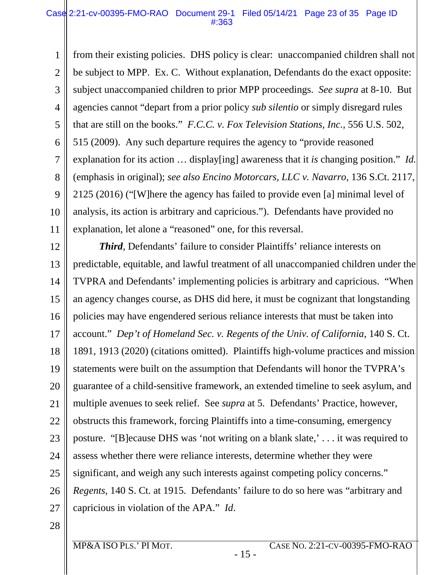#### Case 2:21-cv-00395-FMO-RAO Document 29-1 Filed 05/14/21 Page 23 of 35 Page ID #:363

1 2 3 4 5 6 7 8 9 10 11 from their existing policies. DHS policy is clear: unaccompanied children shall not be subject to MPP. Ex. C. Without explanation, Defendants do the exact opposite: subject unaccompanied children to prior MPP proceedings. *See supra* at 8-10. But agencies cannot "depart from a prior policy *sub silentio* or simply disregard rules that are still on the books." *F.C.C. v. Fox Television Stations, Inc.*, 556 U.S. 502, 515 (2009). Any such departure requires the agency to "provide reasoned explanation for its action … display[ing] awareness that it *is* changing position." *Id.*  (emphasis in original); *see also Encino Motorcars, LLC v. Navarro*, 136 S.Ct. 2117, 2125 (2016) ("[W]here the agency has failed to provide even [a] minimal level of analysis, its action is arbitrary and capricious."). Defendants have provided no explanation, let alone a "reasoned" one, for this reversal.

12 13 14 15 16 17 18 19 20 21 22 23 24 25 26 27 *Third*, Defendants' failure to consider Plaintiffs' reliance interests on predictable, equitable, and lawful treatment of all unaccompanied children under the TVPRA and Defendants' implementing policies is arbitrary and capricious. "When an agency changes course, as DHS did here, it must be cognizant that longstanding policies may have engendered serious reliance interests that must be taken into account." *Dep't of Homeland Sec. v. Regents of the Univ. of California*, 140 S. Ct. 1891, 1913 (2020) (citations omitted). Plaintiffs high-volume practices and mission statements were built on the assumption that Defendants will honor the TVPRA's guarantee of a child-sensitive framework, an extended timeline to seek asylum, and multiple avenues to seek relief. See *supra* at 5*.* Defendants' Practice, however, obstructs this framework, forcing Plaintiffs into a time-consuming, emergency posture. "[B]ecause DHS was 'not writing on a blank slate,' . . . it was required to assess whether there were reliance interests, determine whether they were significant, and weigh any such interests against competing policy concerns." *Regents*, 140 S. Ct. at 1915. Defendants' failure to do so here was "arbitrary and capricious in violation of the APA." *Id*.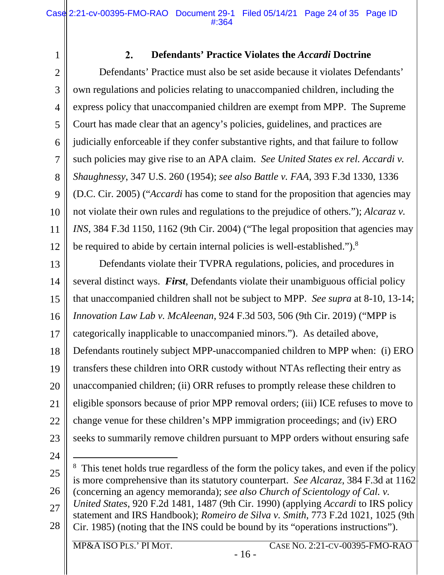<span id="page-23-0"></span>1

#### $2.$ **Defendants' Practice Violates the** *Accardi* **Doctrine**

2 3 4 5 6 7 8 9 10 11 12 Defendants' Practice must also be set aside because it violates Defendants' own regulations and policies relating to unaccompanied children, including the express policy that unaccompanied children are exempt from MPP. The Supreme Court has made clear that an agency's policies, guidelines, and practices are judicially enforceable if they confer substantive rights, and that failure to follow such policies may give rise to an APA claim. *See United States ex rel. Accardi v. Shaughnessy*, 347 U.S. 260 (1954); *see also Battle v. FAA*, 393 F.3d 1330, 1336 (D.C. Cir. 2005) ("*Accardi* has come to stand for the proposition that agencies may not violate their own rules and regulations to the prejudice of others."); *Alcaraz v. INS*, 384 F.3d 1150, 1162 (9th Cir. 2004) ("The legal proposition that agencies may be required to abide by certain internal policies is well-established.").<sup>8</sup>

13 14 15 16 17 18 19 20 21 22 23 Defendants violate their TVPRA regulations, policies, and procedures in several distinct ways. *First*, Defendants violate their unambiguous official policy that unaccompanied children shall not be subject to MPP. *See supra* at 8-10, 13-14; *Innovation Law Lab v. McAleenan*, 924 F.3d 503, 506 (9th Cir. 2019) ("MPP is categorically inapplicable to unaccompanied minors."). As detailed above, Defendants routinely subject MPP-unaccompanied children to MPP when: (i) ERO transfers these children into ORR custody without NTAs reflecting their entry as unaccompanied children; (ii) ORR refuses to promptly release these children to eligible sponsors because of prior MPP removal orders; (iii) ICE refuses to move to change venue for these children's MPP immigration proceedings; and (iv) ERO seeks to summarily remove children pursuant to MPP orders without ensuring safe

24

 $\overline{a}$ 

25 26 <sup>8</sup> This tenet holds true regardless of the form the policy takes, and even if the policy is more comprehensive than its statutory counterpart. *See Alcaraz*, 384 F.3d at 1162 (concerning an agency memoranda); *see also Church of Scientology of Cal. v.* 

- 27 *United States*, 920 F.2d 1481, 1487 (9th Cir. 1990) (applying *Accardi* to IRS policy
- 28 statement and IRS Handbook); *Romeiro de Silva v. Smith*, 773 F.2d 1021, 1025 (9th Cir. 1985) (noting that the INS could be bound by its "operations instructions").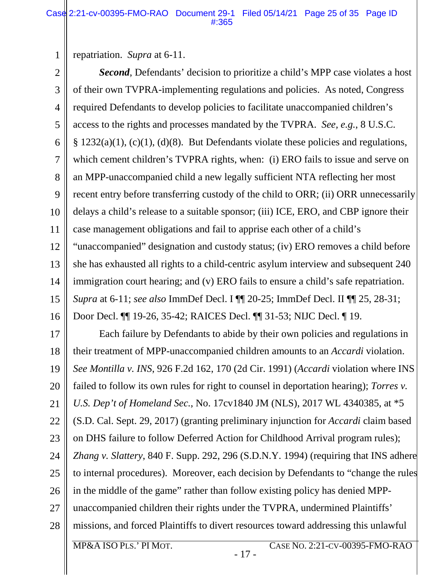repatriation. *Supra* at 6-11.

1

2 3 4 5 6 7 8 9 10 11 12 13 14 15 16 *Second*, Defendants' decision to prioritize a child's MPP case violates a host of their own TVPRA-implementing regulations and policies. As noted, Congress required Defendants to develop policies to facilitate unaccompanied children's access to the rights and processes mandated by the TVPRA. *See, e.g.*, 8 U.S.C.  $\S$  1232(a)(1), (c)(1), (d)(8). But Defendants violate these policies and regulations, which cement children's TVPRA rights, when: (i) ERO fails to issue and serve on an MPP-unaccompanied child a new legally sufficient NTA reflecting her most recent entry before transferring custody of the child to ORR; (ii) ORR unnecessarily delays a child's release to a suitable sponsor; (iii) ICE, ERO, and CBP ignore their case management obligations and fail to apprise each other of a child's "unaccompanied" designation and custody status; (iv) ERO removes a child before she has exhausted all rights to a child-centric asylum interview and subsequent 240 immigration court hearing; and (v) ERO fails to ensure a child's safe repatriation. *Supra* at 6-11; *see also* ImmDef Decl. I ¶¶ 20-25; ImmDef Decl. II ¶¶ 25, 28-31; Door Decl. ¶¶ 19-26, 35-42; RAICES Decl. ¶¶ 31-53; NIJC Decl. ¶ 19.

17 18 19 20 21 22 23 24 25 26 27 28 Each failure by Defendants to abide by their own policies and regulations in their treatment of MPP-unaccompanied children amounts to an *Accardi* violation. *See Montilla v. INS*, 926 F.2d 162, 170 (2d Cir. 1991) (*Accardi* violation where INS failed to follow its own rules for right to counsel in deportation hearing); *Torres v. U.S. Dep't of Homeland Sec.*, No. 17cv1840 JM (NLS), 2017 WL 4340385, at \*5 (S.D. Cal. Sept. 29, 2017) (granting preliminary injunction for *Accardi* claim based on DHS failure to follow Deferred Action for Childhood Arrival program rules); *Zhang v. Slattery*, 840 F. Supp. 292, 296 (S.D.N.Y. 1994) (requiring that INS adhere to internal procedures). Moreover, each decision by Defendants to "change the rules in the middle of the game" rather than follow existing policy has denied MPPunaccompanied children their rights under the TVPRA, undermined Plaintiffs' missions, and forced Plaintiffs to divert resources toward addressing this unlawful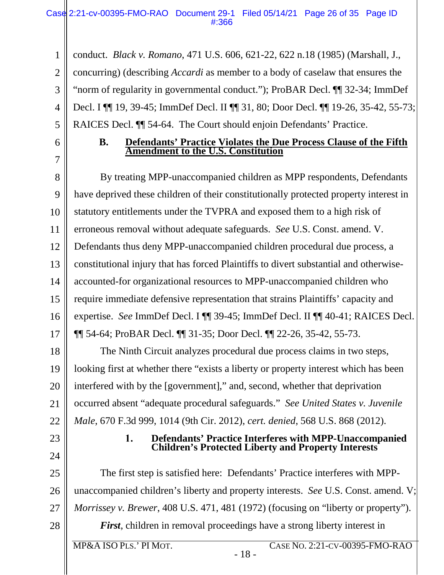1 2 3 4 5 conduct. *Black v. Romano*, 471 U.S. 606, 621-22, 622 n.18 (1985) (Marshall, J., concurring) (describing *Accardi* as member to a body of caselaw that ensures the "norm of regularity in governmental conduct."); ProBAR Decl. ¶¶ 32-34; ImmDef Decl. I ¶¶ 19, 39-45; ImmDef Decl. II ¶¶ 31, 80; Door Decl. ¶¶ 19-26, 35-42, 55-73; RAICES Decl. ¶¶ 54-64. The Court should enjoin Defendants' Practice.

<span id="page-25-0"></span>6

7

### **B. Defendants' Practice Violates the Due Process Clause of the Fifth Amendment to the U.S. Constitution**

8 9 10 11 12 13 14 15 16 17 By treating MPP-unaccompanied children as MPP respondents, Defendants have deprived these children of their constitutionally protected property interest in statutory entitlements under the TVPRA and exposed them to a high risk of erroneous removal without adequate safeguards. *See* U.S. Const. amend. V. Defendants thus deny MPP-unaccompanied children procedural due process, a constitutional injury that has forced Plaintiffs to divert substantial and otherwiseaccounted-for organizational resources to MPP-unaccompanied children who require immediate defensive representation that strains Plaintiffs' capacity and expertise. *See* ImmDef Decl. I ¶¶ 39-45; ImmDef Decl. II ¶¶ 40-41; RAICES Decl. ¶¶ 54-64; ProBAR Decl. ¶¶ 31-35; Door Decl. ¶¶ 22-26, 35-42, 55-73.

18 19 20 21 22 The Ninth Circuit analyzes procedural due process claims in two steps, looking first at whether there "exists a liberty or property interest which has been interfered with by the [government]," and, second, whether that deprivation occurred absent "adequate procedural safeguards." *See United States v. Juvenile Male*, 670 F.3d 999, 1014 (9th Cir. 2012), *cert. denied*, 568 U.S. 868 (2012).

<span id="page-25-1"></span>23

24

#### 1. **Defendants' Practice Interferes with MPP-Unaccompanied Children's Protected Liberty and Property Interests**

25 26 27 28 The first step is satisfied here: Defendants' Practice interferes with MPPunaccompanied children's liberty and property interests. *See* U.S. Const. amend. V; *Morrissey v. Brewer*, 408 U.S. 471, 481 (1972) (focusing on "liberty or property"). *First*, children in removal proceedings have a strong liberty interest in

- 18 -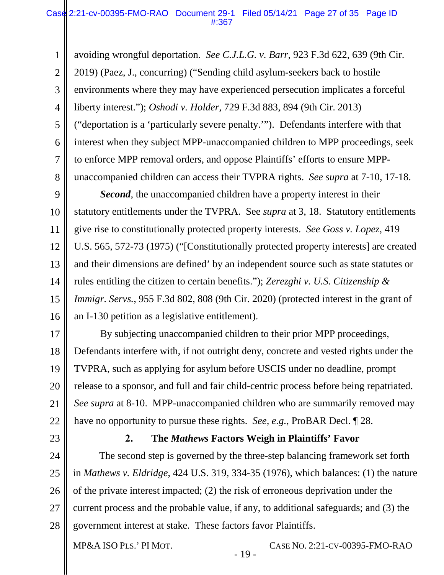1 2 3 4 5 6 7 8 avoiding wrongful deportation. *See C.J.L.G. v. Barr*, 923 F.3d 622, 639 (9th Cir. 2019) (Paez, J., concurring) ("Sending child asylum-seekers back to hostile environments where they may have experienced persecution implicates a forceful liberty interest."); *Oshodi v. Holder*, 729 F.3d 883, 894 (9th Cir. 2013) ("deportation is a 'particularly severe penalty.'"). Defendants interfere with that interest when they subject MPP-unaccompanied children to MPP proceedings, seek to enforce MPP removal orders, and oppose Plaintiffs' efforts to ensure MPPunaccompanied children can access their TVPRA rights. *See supra* at 7-10, 17-18.

9 10 11 12 13 14 15 16 *Second*, the unaccompanied children have a property interest in their statutory entitlements under the TVPRA. See *supra* at 3, 18. Statutory entitlements give rise to constitutionally protected property interests. *See Goss v. Lopez*, 419 U.S. 565, 572-73 (1975) ("[Constitutionally protected property interests] are created and their dimensions are defined' by an independent source such as state statutes or rules entitling the citizen to certain benefits."); *Zerezghi v. U.S. Citizenship & Immigr. Servs.*, 955 F.3d 802, 808 (9th Cir. 2020) (protected interest in the grant of an I-130 petition as a legislative entitlement).

17 18 19 20 21 22 By subjecting unaccompanied children to their prior MPP proceedings, Defendants interfere with, if not outright deny, concrete and vested rights under the TVPRA, such as applying for asylum before USCIS under no deadline, prompt release to a sponsor, and full and fair child-centric process before being repatriated. *See supra* at 8-10. MPP-unaccompanied children who are summarily removed may have no opportunity to pursue these rights. *See, e.g.*, ProBAR Decl. ¶ 28.

<span id="page-26-0"></span>23

#### $2.$ **The** *Mathews* **Factors Weigh in Plaintiffs' Favor**

24 25 26 27 28 The second step is governed by the three-step balancing framework set forth in *Mathews v. Eldridge*, 424 U.S. 319, 334-35 (1976), which balances: (1) the nature of the private interest impacted; (2) the risk of erroneous deprivation under the current process and the probable value, if any, to additional safeguards; and (3) the government interest at stake. These factors favor Plaintiffs.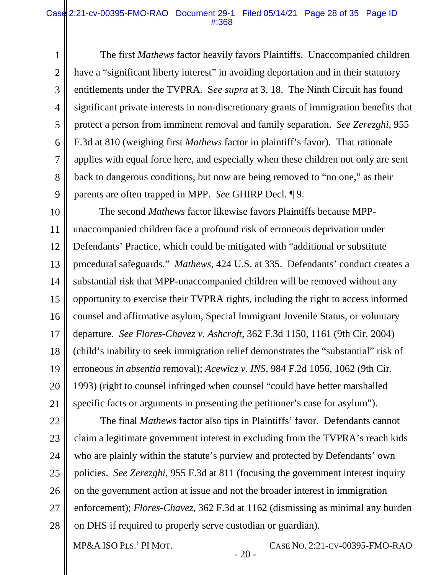#### Case 2:21-cv-00395-FMO-RAO Document 29-1 Filed 05/14/21 Page 28 of 35 Page ID #:368

1 2 3 4 5 6 7 8 9 The first *Mathews* factor heavily favors Plaintiffs. Unaccompanied children have a "significant liberty interest" in avoiding deportation and in their statutory entitlements under the TVPRA. S*ee supra* at 3, 18. The Ninth Circuit has found significant private interests in non-discretionary grants of immigration benefits that protect a person from imminent removal and family separation. *See Zerezghi*, 955 F.3d at 810 (weighing first *Mathews* factor in plaintiff's favor). That rationale applies with equal force here, and especially when these children not only are sent back to dangerous conditions, but now are being removed to "no one," as their parents are often trapped in MPP. *See* GHIRP Decl. ¶ 9.

10 11 12 13 14 15 16 17 18 19 20 21 The second *Mathews* factor likewise favors Plaintiffs because MPPunaccompanied children face a profound risk of erroneous deprivation under Defendants' Practice, which could be mitigated with "additional or substitute procedural safeguards." *Mathews*, 424 U.S. at 335. Defendants' conduct creates a substantial risk that MPP-unaccompanied children will be removed without any opportunity to exercise their TVPRA rights, including the right to access informed counsel and affirmative asylum, Special Immigrant Juvenile Status, or voluntary departure. *See Flores-Chavez v. Ashcroft*, 362 F.3d 1150, 1161 (9th Cir. 2004) (child's inability to seek immigration relief demonstrates the "substantial" risk of erroneous *in absentia* removal); *Acewicz v. INS*, 984 F.2d 1056, 1062 (9th Cir. 1993) (right to counsel infringed when counsel "could have better marshalled specific facts or arguments in presenting the petitioner's case for asylum").

22 23 24 25 26 27 28 The final *Mathews* factor also tips in Plaintiffs' favor. Defendants cannot claim a legitimate government interest in excluding from the TVPRA's reach kids who are plainly within the statute's purview and protected by Defendants' own policies. *See Zerezghi*, 955 F.3d at 811 (focusing the government interest inquiry on the government action at issue and not the broader interest in immigration enforcement); *Flores-Chavez*, 362 F.3d at 1162 (dismissing as minimal any burden on DHS if required to properly serve custodian or guardian).

MP&A ISO PLS.' PI MOT. CASE NO. 2:21-CV-00395-FMO-RAO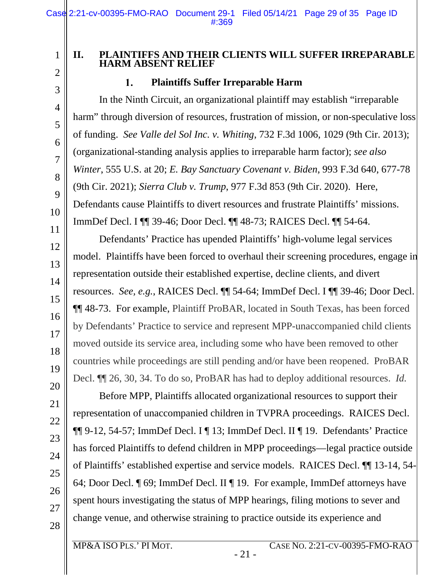### <span id="page-28-0"></span>**II. PLAINTIFFS AND THEIR CLIENTS WILL SUFFER IRREPARABLE HARM ABSENT RELIEF**

#### **Plaintiffs Suffer Irreparable Harm**  1.

1

2

3

4

5

6

7

8

9

10

11

12

13

14

15

16

17

18

19

20

21

22

23

24

25

26

27

28

<span id="page-28-1"></span>In the Ninth Circuit, an organizational plaintiff may establish "irreparable harm" through diversion of resources, frustration of mission, or non-speculative loss of funding. *See Valle del Sol Inc. v. Whiting*, 732 F.3d 1006, 1029 (9th Cir. 2013); (organizational-standing analysis applies to irreparable harm factor); *see also Winter*, 555 U.S. at 20; *E. Bay Sanctuary Covenant v. Biden*, 993 F.3d 640, 677-78 (9th Cir. 2021); *Sierra Club v. Trump*, 977 F.3d 853 (9th Cir. 2020). Here, Defendants cause Plaintiffs to divert resources and frustrate Plaintiffs' missions. ImmDef Decl. I ¶¶ 39-46; Door Decl. ¶¶ 48-73; RAICES Decl. ¶¶ 54-64.

Defendants' Practice has upended Plaintiffs' high-volume legal services model. Plaintiffs have been forced to overhaul their screening procedures, engage in representation outside their established expertise, decline clients, and divert resources. *See, e.g.*, RAICES Decl. ¶¶ 54-64; ImmDef Decl. I ¶¶ 39-46; Door Decl. ¶¶ 48-73. For example, Plaintiff ProBAR, located in South Texas, has been forced by Defendants' Practice to service and represent MPP-unaccompanied child clients moved outside its service area, including some who have been removed to other countries while proceedings are still pending and/or have been reopened. ProBAR Decl. ¶¶ 26, 30, 34. To do so, ProBAR has had to deploy additional resources. *Id.*

Before MPP, Plaintiffs allocated organizational resources to support their representation of unaccompanied children in TVPRA proceedings. RAICES Decl. ¶¶ 9-12, 54-57; ImmDef Decl. I ¶ 13; ImmDef Decl. II ¶ 19. Defendants' Practice has forced Plaintiffs to defend children in MPP proceedings—legal practice outside of Plaintiffs' established expertise and service models. RAICES Decl. ¶¶ 13-14, 54- 64; Door Decl. ¶ 69; ImmDef Decl. II ¶ 19. For example, ImmDef attorneys have spent hours investigating the status of MPP hearings, filing motions to sever and change venue, and otherwise straining to practice outside its experience and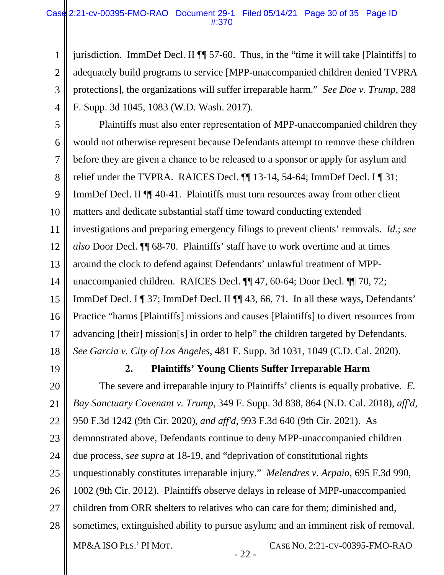#### Case 2:21-cv-00395-FMO-RAO Document 29-1 Filed 05/14/21 Page 30 of 35 Page ID #:370

1 2 3 4 jurisdiction. ImmDef Decl. II ¶¶ 57-60. Thus, in the "time it will take [Plaintiffs] to adequately build programs to service [MPP-unaccompanied children denied TVPRA protections], the organizations will suffer irreparable harm." *See Doe v. Trump*, 288 F. Supp. 3d 1045, 1083 (W.D. Wash. 2017).

5 6 7 8 9 10 11 12 13 14 15 16 17 18 Plaintiffs must also enter representation of MPP-unaccompanied children they would not otherwise represent because Defendants attempt to remove these children before they are given a chance to be released to a sponsor or apply for asylum and relief under the TVPRA. RAICES Decl. ¶¶ 13-14, 54-64; ImmDef Decl. I ¶ 31; ImmDef Decl. II ¶¶ 40-41. Plaintiffs must turn resources away from other client matters and dedicate substantial staff time toward conducting extended investigations and preparing emergency filings to prevent clients' removals. *Id.*; *see also* Door Decl. ¶¶ 68-70. Plaintiffs' staff have to work overtime and at times around the clock to defend against Defendants' unlawful treatment of MPPunaccompanied children. RAICES Decl. ¶¶ 47, 60-64; Door Decl. ¶¶ 70, 72; ImmDef Decl. I ¶ 37; ImmDef Decl. II ¶¶ 43, 66, 71. In all these ways, Defendants' Practice "harms [Plaintiffs] missions and causes [Plaintiffs] to divert resources from advancing [their] mission[s] in order to help" the children targeted by Defendants. *See Garcia v. City of Los Angeles*, 481 F. Supp. 3d 1031, 1049 (C.D. Cal. 2020).

<span id="page-29-0"></span>19

#### $2.$ **Plaintiffs' Young Clients Suffer Irreparable Harm**

20 21 22 23 24 25 26 27 28 The severe and irreparable injury to Plaintiffs' clients is equally probative. *E. Bay Sanctuary Covenant v. Trump*, 349 F. Supp. 3d 838, 864 (N.D. Cal. 2018), *aff'd*, 950 F.3d 1242 (9th Cir. 2020), *and aff'd*, 993 F.3d 640 (9th Cir. 2021). As demonstrated above, Defendants continue to deny MPP-unaccompanied children due process, *see supra* at 18-19, and "deprivation of constitutional rights unquestionably constitutes irreparable injury." *Melendres v. Arpaio*, 695 F.3d 990, 1002 (9th Cir. 2012). Plaintiffs observe delays in release of MPP-unaccompanied children from ORR shelters to relatives who can care for them; diminished and, sometimes, extinguished ability to pursue asylum; and an imminent risk of removal.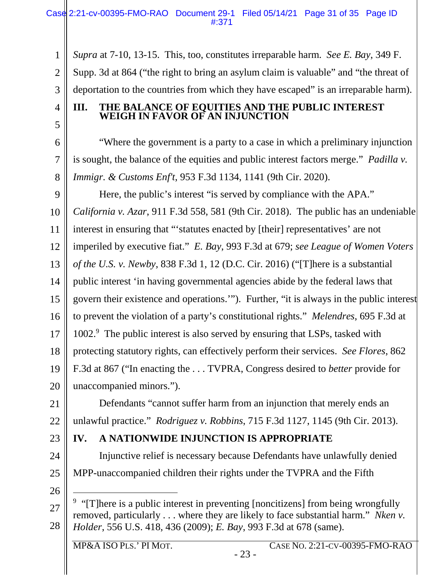1 2 3 *Supra* at 7-10, 13-15. This, too, constitutes irreparable harm. *See E. Bay*, 349 F. Supp. 3d at 864 ("the right to bring an asylum claim is valuable" and "the threat of deportation to the countries from which they have escaped" is an irreparable harm).

<span id="page-30-0"></span>**III. THE BALANCE OF EQUITIES AND THE PUBLIC INTEREST WEIGH IN FAVOR OF AN INJUNCTION** 

"Where the government is a party to a case in which a preliminary injunction is sought, the balance of the equities and public interest factors merge." *Padilla v. Immigr. & Customs Enf't*, 953 F.3d 1134, 1141 (9th Cir. 2020).

9 10 11 12 13 14 15 16 17 18 19 20 Here, the public's interest "is served by compliance with the APA." *California v. Azar*, 911 F.3d 558, 581 (9th Cir. 2018). The public has an undeniable interest in ensuring that "'statutes enacted by [their] representatives' are not imperiled by executive fiat." *E. Bay*, 993 F.3d at 679; *see League of Women Voters of the U.S. v. Newby*, 838 F.3d 1, 12 (D.C. Cir. 2016) ("[T]here is a substantial public interest 'in having governmental agencies abide by the federal laws that govern their existence and operations.'"). Further, "it is always in the public interest to prevent the violation of a party's constitutional rights." *Melendres*, 695 F.3d at 1002.<sup>9</sup> The public interest is also served by ensuring that LSPs, tasked with protecting statutory rights, can effectively perform their services. *See Flores*, 862 F.3d at 867 ("In enacting the . . . TVPRA, Congress desired to *better* provide for unaccompanied minors.").

21 22 Defendants "cannot suffer harm from an injunction that merely ends an unlawful practice." *Rodriguez v. Robbins*, 715 F.3d 1127, 1145 (9th Cir. 2013).

23

24

4

5

6

7

8

# <span id="page-30-1"></span>**IV. A NATIONWIDE INJUNCTION IS APPROPRIATE**

25 Injunctive relief is necessary because Defendants have unlawfully denied MPP-unaccompanied children their rights under the TVPRA and the Fifth

26

 $\overline{a}$ 

- 23 -

<sup>27</sup>  28 <sup>9</sup> "[T]here is a public interest in preventing [noncitizens] from being wrongfully removed, particularly . . . where they are likely to face substantial harm." *Nken v. Holder*, 556 U.S. 418, 436 (2009); *E. Bay*, 993 F.3d at 678 (same).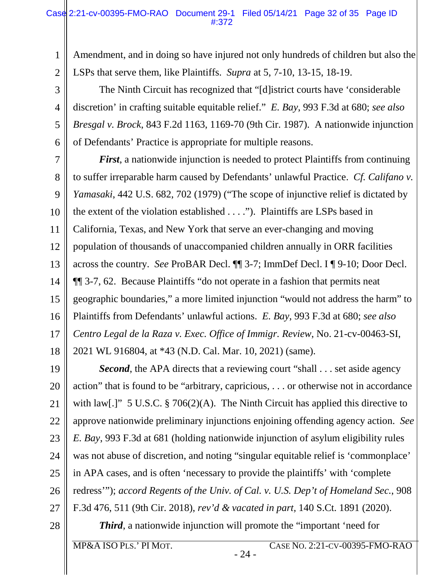#### Case 2:21-cv-00395-FMO-RAO Document 29-1 Filed 05/14/21 Page 32 of 35 Page ID #:372

Amendment, and in doing so have injured not only hundreds of children but also the LSPs that serve them, like Plaintiffs. *Supra* at 5, 7-10, 13-15, 18-19.

3 The Ninth Circuit has recognized that "[d]istrict courts have 'considerable discretion' in crafting suitable equitable relief." *E. Bay*, 993 F.3d at 680; *see also Bresgal v. Brock*, 843 F.2d 1163, 1169-70 (9th Cir. 1987). A nationwide injunction of Defendants' Practice is appropriate for multiple reasons.

7 8 9 10 11 12 13 14 15 16 17 18 *First*, a nationwide injunction is needed to protect Plaintiffs from continuing to suffer irreparable harm caused by Defendants' unlawful Practice. *Cf. Califano v. Yamasaki*, 442 U.S. 682, 702 (1979) ("The scope of injunctive relief is dictated by the extent of the violation established . . . ."). Plaintiffs are LSPs based in California, Texas, and New York that serve an ever-changing and moving population of thousands of unaccompanied children annually in ORR facilities across the country. *See* ProBAR Decl. ¶¶ 3-7; ImmDef Decl. I ¶ 9-10; Door Decl. ¶¶ 3-7, 62. Because Plaintiffs "do not operate in a fashion that permits neat geographic boundaries," a more limited injunction "would not address the harm" to Plaintiffs from Defendants' unlawful actions. *E. Bay*, 993 F.3d at 680; *see also Centro Legal de la Raza v. Exec. Office of Immigr. Review*, No. 21-cv-00463-SI, 2021 WL 916804, at \*43 (N.D. Cal. Mar. 10, 2021) (same).

19 20 21 22 23 24 25 26 27 *Second*, the APA directs that a reviewing court "shall . . . set aside agency action" that is found to be "arbitrary, capricious, . . . or otherwise not in accordance with law[.]" 5 U.S.C. § 706(2)(A). The Ninth Circuit has applied this directive to approve nationwide preliminary injunctions enjoining offending agency action. *See E. Bay*, 993 F.3d at 681 (holding nationwide injunction of asylum eligibility rules was not abuse of discretion, and noting "singular equitable relief is 'commonplace' in APA cases, and is often 'necessary to provide the plaintiffs' with 'complete redress'"); *accord Regents of the Univ. of Cal. v. U.S. Dep't of Homeland Sec.*, 908 F.3d 476, 511 (9th Cir. 2018), *rev'd & vacated in part,* 140 S.Ct. 1891 (2020).

28

1

2

4

5

6

*Third*, a nationwide injunction will promote the "important 'need for

- 24 -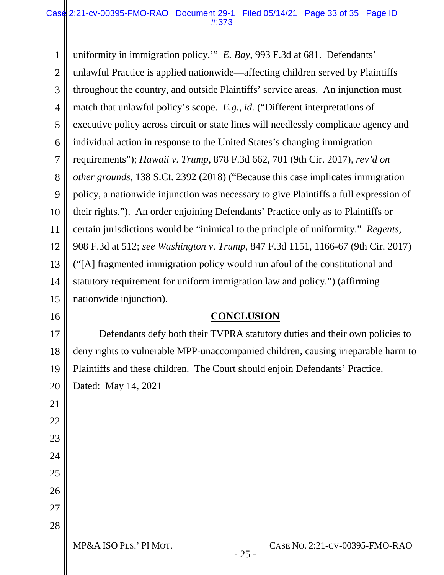1 2 3 4 5 6 7 8 9 10 11 12 13 14 15 16 17 18 19 20 21 22 23 uniformity in immigration policy.'" *E. Bay*, 993 F.3d at 681. Defendants' unlawful Practice is applied nationwide—affecting children served by Plaintiffs throughout the country, and outside Plaintiffs' service areas. An injunction must match that unlawful policy's scope. *E.g.*, *id.* ("Different interpretations of executive policy across circuit or state lines will needlessly complicate agency and individual action in response to the United States's changing immigration requirements"); *Hawaii v. Trump*, 878 F.3d 662, 701 (9th Cir. 2017), *rev'd on other grounds*, 138 S.Ct. 2392 (2018) ("Because this case implicates immigration policy, a nationwide injunction was necessary to give Plaintiffs a full expression of their rights."). An order enjoining Defendants' Practice only as to Plaintiffs or certain jurisdictions would be "inimical to the principle of uniformity." *Regents*, 908 F.3d at 512; *see Washington v. Trump*, 847 F.3d 1151, 1166-67 (9th Cir. 2017) ("[A] fragmented immigration policy would run afoul of the constitutional and statutory requirement for uniform immigration law and policy.") (affirming nationwide injunction). **CONCLUSION**  Defendants defy both their TVPRA statutory duties and their own policies to deny rights to vulnerable MPP-unaccompanied children, causing irreparable harm to Plaintiffs and these children. The Court should enjoin Defendants' Practice. Dated: May 14, 2021

<span id="page-32-0"></span>24

25

26

27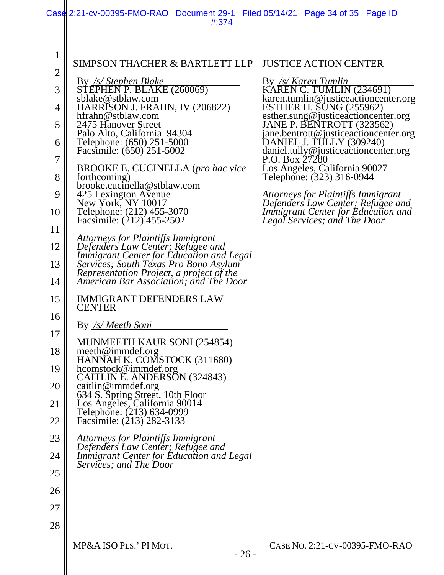|                | Case 2:21-cv-00395-FMO-RAO Document 29-1 Filed 05/14/21 Page 34 of 35 Page ID<br>#:374                                      |                                                                                |
|----------------|-----------------------------------------------------------------------------------------------------------------------------|--------------------------------------------------------------------------------|
|                |                                                                                                                             |                                                                                |
| $\mathbf 1$    | SIMPSON THACHER & BARTLETT LLP                                                                                              | <b>JUSTICE ACTION CENTER</b>                                                   |
| $\overline{2}$ |                                                                                                                             | By /s/ Karen Tumlin                                                            |
| 3              | By /s/ Stephen Blake<br>STEPHEN P. BLAKE (260069)                                                                           | <b>KAREN C. TUMLIN (234691)</b>                                                |
| 4              | sblake@stblaw.com<br>HARRISON J. FRAHN, IV (206822)                                                                         | karen.tumlin@justiceactioncenter.org<br>ESTHER H. SUNG (255962)                |
| 5              | hfrahn@stblaw.com<br>2475 Hanover Street                                                                                    | esther.sung@justiceactioncenter.org<br>JANE P. BENTROTT (323562)               |
| 6              | Palo Alto, California 94304<br>Telephone: (650) 251-5000                                                                    | jane.bentrott@justiceactioncenter.org<br>DANIEL J. TULLY (309240)              |
| 7              | Facsimile: (650) 251-5002                                                                                                   | daniel.tully@justiceactioncenter.org<br>P.O. Box 27280                         |
| 8              | BROOKE E. CUCINELLA (pro hac vice<br>forthcoming)<br>brooke.cucinella@stblaw.com                                            | Los Angeles, California 90027<br>Telephone: (323) 316-0944                     |
| 9              | 425 Lexington Avenue                                                                                                        | Attorneys for Plaintiffs Immigrant                                             |
| 10             | New York, NY 10017<br>Telephone: (212) 455-3070                                                                             | Defenders Law Center; Refugee and<br><b>Immigrant Center for Education and</b> |
| 11             | Facsimile: (212) 455-2502                                                                                                   | Legal Services; and The Door                                                   |
| 12             | Attorneys for Plaintiffs Immigrant<br>Defenders Law Center; Refugee and                                                     |                                                                                |
| 13             | Immigrant Center for Education and Legal<br>Services; South Texas Pro Bono Asylum                                           |                                                                                |
| 14             | Representation Project, a project of the<br>American Bar Association; and The Door                                          |                                                                                |
| 15             | <b>IMMIGRANT DEFENDERS LAW</b><br><b>CENTER</b>                                                                             |                                                                                |
| 16             | By <u>/s/ Meeth Soni</u>                                                                                                    |                                                                                |
| 17             |                                                                                                                             |                                                                                |
| 18             | MUNMEETH KAUR SONI (254854)<br>meeth@immdef.org                                                                             |                                                                                |
| 19             | HANNAH K. COMSTOCK (311680)<br>hcomstock@immdef.org                                                                         |                                                                                |
| 20             | CAITLIN E. ANDERSON (324843)<br>caitlin@immdef.org                                                                          |                                                                                |
| 21             |                                                                                                                             |                                                                                |
| 22             | 634 S. Spring Street, 10th Floor<br>Los Angeles, California 90014<br>Telephone: (213) 634-0999<br>Facsimile: (213) 282-3133 |                                                                                |
| 23             | Attorneys for Plaintiffs Immigrant                                                                                          |                                                                                |
| 24             | Defenders Law Center; Refugee and<br>Immigrant Center for Education and Legal                                               |                                                                                |
| 25             | Services; and The Door                                                                                                      |                                                                                |
| 26             |                                                                                                                             |                                                                                |
| 27             |                                                                                                                             |                                                                                |
| 28             |                                                                                                                             |                                                                                |
|                | MP&A ISO PLS.' PI MOT.<br>$-26-$                                                                                            | CASE NO. 2:21-CV-00395-FMO-RAO                                                 |